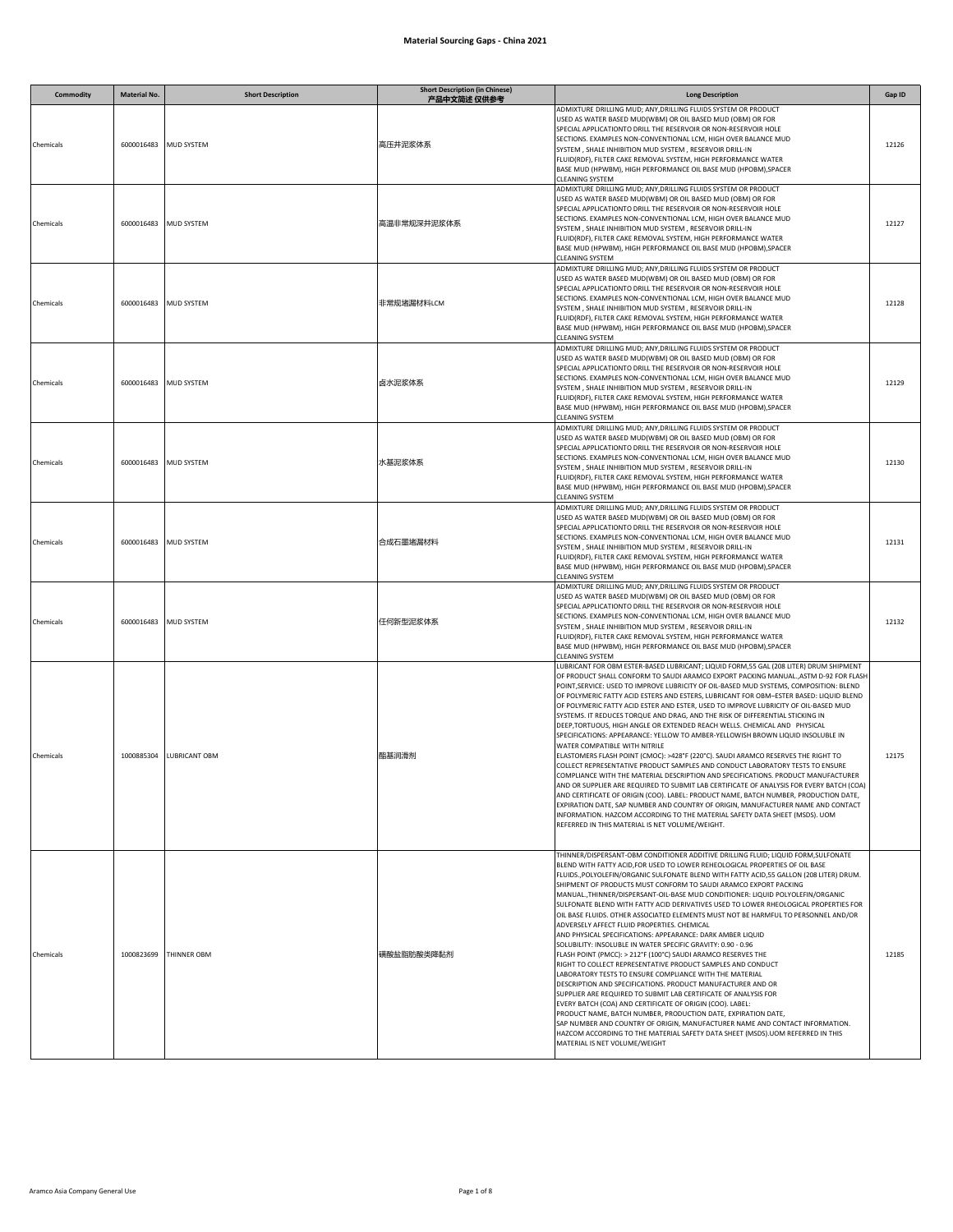| <b>Commodity</b> | <b>Material No.</b> | <b>Short Description</b> | <b>Short Description (in Chinese)</b><br>产品中文简述 仅供参考 | <b>Long Description</b>                                                                                                                                                                                                                                                                                                                                                                                                                                                                                                                                                                                                                                                                                                                                                                                                                                                                                                                                                                                                                                                                                                                                                                                                                                                                                                                                                                                                                        | Gap ID |
|------------------|---------------------|--------------------------|------------------------------------------------------|------------------------------------------------------------------------------------------------------------------------------------------------------------------------------------------------------------------------------------------------------------------------------------------------------------------------------------------------------------------------------------------------------------------------------------------------------------------------------------------------------------------------------------------------------------------------------------------------------------------------------------------------------------------------------------------------------------------------------------------------------------------------------------------------------------------------------------------------------------------------------------------------------------------------------------------------------------------------------------------------------------------------------------------------------------------------------------------------------------------------------------------------------------------------------------------------------------------------------------------------------------------------------------------------------------------------------------------------------------------------------------------------------------------------------------------------|--------|
| Chemicals        |                     | 6000016483 MUD SYSTEM    | 高压井泥浆体系                                              | ADMIXTURE DRILLING MUD; ANY, DRILLING FLUIDS SYSTEM OR PRODUCT<br>USED AS WATER BASED MUD(WBM) OR OIL BASED MUD (OBM) OR FOR<br>SPECIAL APPLICATIONTO DRILL THE RESERVOIR OR NON-RESERVOIR HOLE<br>SECTIONS. EXAMPLES NON-CONVENTIONAL LCM, HIGH OVER BALANCE MUD<br>SYSTEM, SHALE INHIBITION MUD SYSTEM, RESERVOIR DRILL-IN<br>FLUID(RDF), FILTER CAKE REMOVAL SYSTEM, HIGH PERFORMANCE WATER<br>BASE MUD (HPWBM), HIGH PERFORMANCE OIL BASE MUD (HPOBM), SPACER<br>CLEANING SYSTEM                                                                                                                                                                                                                                                                                                                                                                                                                                                                                                                                                                                                                                                                                                                                                                                                                                                                                                                                                           | 12126  |
| Chemicals        | 6000016483          | MUD SYSTEM               | 高温非常规深井泥浆体系                                          | ADMIXTURE DRILLING MUD; ANY, DRILLING FLUIDS SYSTEM OR PRODUCT<br>USED AS WATER BASED MUD(WBM) OR OIL BASED MUD (OBM) OR FOR<br>SPECIAL APPLICATIONTO DRILL THE RESERVOIR OR NON-RESERVOIR HOLE<br>SECTIONS. EXAMPLES NON-CONVENTIONAL LCM, HIGH OVER BALANCE MUD<br>SYSTEM, SHALE INHIBITION MUD SYSTEM, RESERVOIR DRILL-IN<br>FLUID(RDF), FILTER CAKE REMOVAL SYSTEM, HIGH PERFORMANCE WATER<br>BASE MUD (HPWBM), HIGH PERFORMANCE OIL BASE MUD (HPOBM), SPACER<br>CLEANING SYSTEM                                                                                                                                                                                                                                                                                                                                                                                                                                                                                                                                                                                                                                                                                                                                                                                                                                                                                                                                                           | 12127  |
| Chemicals        | 6000016483          | MUD SYSTEM               | 非常规堵漏材料LCM                                           | ADMIXTURE DRILLING MUD; ANY, DRILLING FLUIDS SYSTEM OR PRODUCT<br>USED AS WATER BASED MUD(WBM) OR OIL BASED MUD (OBM) OR FOR<br>SPECIAL APPLICATIONTO DRILL THE RESERVOIR OR NON-RESERVOIR HOLE<br>SECTIONS. EXAMPLES NON-CONVENTIONAL LCM, HIGH OVER BALANCE MUD<br>SYSTEM, SHALE INHIBITION MUD SYSTEM, RESERVOIR DRILL-IN<br>FLUID(RDF), FILTER CAKE REMOVAL SYSTEM, HIGH PERFORMANCE WATER<br>BASE MUD (HPWBM), HIGH PERFORMANCE OIL BASE MUD (HPOBM), SPACER<br>CLEANING SYSTEM                                                                                                                                                                                                                                                                                                                                                                                                                                                                                                                                                                                                                                                                                                                                                                                                                                                                                                                                                           | 12128  |
| Chemicals        | 6000016483          | <b>MUD SYSTEM</b>        | 卤水泥浆体系                                               | ADMIXTURE DRILLING MUD; ANY, DRILLING FLUIDS SYSTEM OR PRODUCT<br>USED AS WATER BASED MUD(WBM) OR OIL BASED MUD (OBM) OR FOR<br>SPECIAL APPLICATIONTO DRILL THE RESERVOIR OR NON-RESERVOIR HOLE<br>SECTIONS. EXAMPLES NON-CONVENTIONAL LCM, HIGH OVER BALANCE MUD<br>SYSTEM, SHALE INHIBITION MUD SYSTEM, RESERVOIR DRILL-IN<br>FLUID(RDF), FILTER CAKE REMOVAL SYSTEM, HIGH PERFORMANCE WATER<br>BASE MUD (HPWBM), HIGH PERFORMANCE OIL BASE MUD (HPOBM), SPACER<br>CLEANING SYSTEM                                                                                                                                                                                                                                                                                                                                                                                                                                                                                                                                                                                                                                                                                                                                                                                                                                                                                                                                                           | 12129  |
| Chemicals        | 6000016483          | <b>MUD SYSTEM</b>        | 水基泥浆体系                                               | ADMIXTURE DRILLING MUD; ANY, DRILLING FLUIDS SYSTEM OR PRODUCT<br>USED AS WATER BASED MUD(WBM) OR OIL BASED MUD (OBM) OR FOR<br>SPECIAL APPLICATIONTO DRILL THE RESERVOIR OR NON-RESERVOIR HOLE<br>SECTIONS. EXAMPLES NON-CONVENTIONAL LCM, HIGH OVER BALANCE MUD<br>SYSTEM, SHALE INHIBITION MUD SYSTEM, RESERVOIR DRILL-IN<br>FLUID(RDF), FILTER CAKE REMOVAL SYSTEM, HIGH PERFORMANCE WATER<br>BASE MUD (HPWBM), HIGH PERFORMANCE OIL BASE MUD (HPOBM), SPACER<br>CLEANING SYSTEM                                                                                                                                                                                                                                                                                                                                                                                                                                                                                                                                                                                                                                                                                                                                                                                                                                                                                                                                                           | 12130  |
| Chemicals        | 6000016483          | MUD SYSTEM               | 合成石墨堵漏材料                                             | ADMIXTURE DRILLING MUD; ANY, DRILLING FLUIDS SYSTEM OR PRODUCT<br>USED AS WATER BASED MUD(WBM) OR OIL BASED MUD (OBM) OR FOR<br>SPECIAL APPLICATIONTO DRILL THE RESERVOIR OR NON-RESERVOIR HOLE<br>SECTIONS. EXAMPLES NON-CONVENTIONAL LCM, HIGH OVER BALANCE MUD<br>SYSTEM, SHALE INHIBITION MUD SYSTEM, RESERVOIR DRILL-IN<br>FLUID(RDF), FILTER CAKE REMOVAL SYSTEM, HIGH PERFORMANCE WATER<br>BASE MUD (HPWBM), HIGH PERFORMANCE OIL BASE MUD (HPOBM), SPACER<br>CLEANING SYSTEM                                                                                                                                                                                                                                                                                                                                                                                                                                                                                                                                                                                                                                                                                                                                                                                                                                                                                                                                                           | 12131  |
| Chemicals        | 6000016483          | MUD SYSTEM               | 任何新型泥浆体系                                             | ADMIXTURE DRILLING MUD; ANY, DRILLING FLUIDS SYSTEM OR PRODUCT<br>USED AS WATER BASED MUD(WBM) OR OIL BASED MUD (OBM) OR FOR<br>SPECIAL APPLICATIONTO DRILL THE RESERVOIR OR NON-RESERVOIR HOLE<br>SECTIONS. EXAMPLES NON-CONVENTIONAL LCM, HIGH OVER BALANCE MUD<br>SYSTEM, SHALE INHIBITION MUD SYSTEM, RESERVOIR DRILL-IN<br>FLUID(RDF), FILTER CAKE REMOVAL SYSTEM, HIGH PERFORMANCE WATER<br>BASE MUD (HPWBM), HIGH PERFORMANCE OIL BASE MUD (HPOBM), SPACER<br>CLEANING SYSTEM                                                                                                                                                                                                                                                                                                                                                                                                                                                                                                                                                                                                                                                                                                                                                                                                                                                                                                                                                           | 12132  |
| Chemicals        | 1000885304          | LUBRICANT OBM            | 酯基润滑剂                                                | LUBRICANT FOR OBM ESTER-BASED LUBRICANT; LIQUID FORM,55 GAL (208 LITER) DRUM SHIPMENT<br>OF PRODUCT SHALL CONFORM TO SAUDI ARAMCO EXPORT PACKING MANUAL., ASTM D-92 FOR FLASH<br>POINT, SERVICE: USED TO IMPROVE LUBRICITY OF OIL-BASED MUD SYSTEMS, COMPOSITION: BLEND<br>OF POLYMERIC FATTY ACID ESTERS AND ESTERS, LUBRICANT FOR OBM-ESTER BASED: LIQUID BLEND<br>OF POLYMERIC FATTY ACID ESTER AND ESTER, USED TO IMPROVE LUBRICITY OF OIL-BASED MUD<br>SYSTEMS. IT REDUCES TORQUE AND DRAG, AND THE RISK OF DIFFERENTIAL STICKING IN<br>DEEP, TORTUOUS, HIGH ANGLE OR EXTENDED REACH WELLS. CHEMICAL AND PHYSICAL<br>SPECIFICATIONS: APPEARANCE: YELLOW TO AMBER-YELLOWISH BROWN LIQUID INSOLUBLE IN<br>WATER COMPATIBLE WITH NITRILE<br>ELASTOMERS FLASH POINT (CMOC): >428°F (220°C). SAUDI ARAMCO RESERVES THE RIGHT TO<br>COLLECT REPRESENTATIVE PRODUCT SAMPLES AND CONDUCT LABORATORY TESTS TO ENSURE<br>COMPLIANCE WITH THE MATERIAL DESCRIPTION AND SPECIFICATIONS. PRODUCT MANUFACTURER<br>AND OR SUPPLIER ARE REQUIRED TO SUBMIT LAB CERTIFICATE OF ANALYSIS FOR EVERY BATCH (COA)<br>AND CERTIFICATE OF ORIGIN (COO). LABEL: PRODUCT NAME, BATCH NUMBER, PRODUCTION DATE,<br>EXPIRATION DATE, SAP NUMBER AND COUNTRY OF ORIGIN, MANUFACTURER NAME AND CONTACT<br>INFORMATION. HAZCOM ACCORDING TO THE MATERIAL SAFETY DATA SHEET (MSDS). UOM<br>REFERRED IN THIS MATERIAL IS NET VOLUME/WEIGHT.                                | 12175  |
| Chemicals        | 1000823699          | THINNER OBM              | 磺酸盐脂肪酸类降黏剂                                           | THINNER/DISPERSANT-OBM CONDITIONER ADDITIVE DRILLING FLUID; LIQUID FORM, SULFONATE<br>BLEND WITH FATTY ACID, FOR USED TO LOWER REHEOLOGICAL PROPERTIES OF OIL BASE<br>FLUIDS., POLYOLEFIN/ORGANIC SULFONATE BLEND WITH FATTY ACID, 55 GALLON (208 LITER) DRUM.<br>SHIPMENT OF PRODUCTS MUST CONFORM TO SAUDI ARAMCO EXPORT PACKING<br>MANUAL., THINNER/DISPERSANT-OIL-BASE MUD CONDITIONER: LIQUID POLYOLEFIN/ORGANIC<br>SULFONATE BLEND WITH FATTY ACID DERIVATIVES USED TO LOWER RHEOLOGICAL PROPERTIES FOR<br>OIL BASE FLUIDS. OTHER ASSOCIATED ELEMENTS MUST NOT BE HARMFUL TO PERSONNEL AND/OR<br>ADVERSELY AFFECT FLUID PROPERTIES. CHEMICAL<br>AND PHYSICAL SPECIFICATIONS: APPEARANCE: DARK AMBER LIQUID<br>SOLUBILITY: INSOLUBLE IN WATER SPECIFIC GRAVITY: 0.90 - 0.96<br>FLASH POINT (PMCC): > 212°F (100°C) SAUDI ARAMCO RESERVES THE<br>RIGHT TO COLLECT REPRESENTATIVE PRODUCT SAMPLES AND CONDUCT<br>LABORATORY TESTS TO ENSURE COMPLIANCE WITH THE MATERIAL<br>DESCRIPTION AND SPECIFICATIONS. PRODUCT MANUFACTURER AND OR<br>SUPPLIER ARE REQUIRED TO SUBMIT LAB CERTIFICATE OF ANALYSIS FOR<br>EVERY BATCH (COA) AND CERTIFICATE OF ORIGIN (COO). LABEL:<br>PRODUCT NAME, BATCH NUMBER, PRODUCTION DATE, EXPIRATION DATE,<br>SAP NUMBER AND COUNTRY OF ORIGIN, MANUFACTURER NAME AND CONTACT INFORMATION.<br>HAZCOM ACCORDING TO THE MATERIAL SAFETY DATA SHEET (MSDS).UOM REFERRED IN THIS<br>MATERIAL IS NET VOLUME/WEIGHT | 12185  |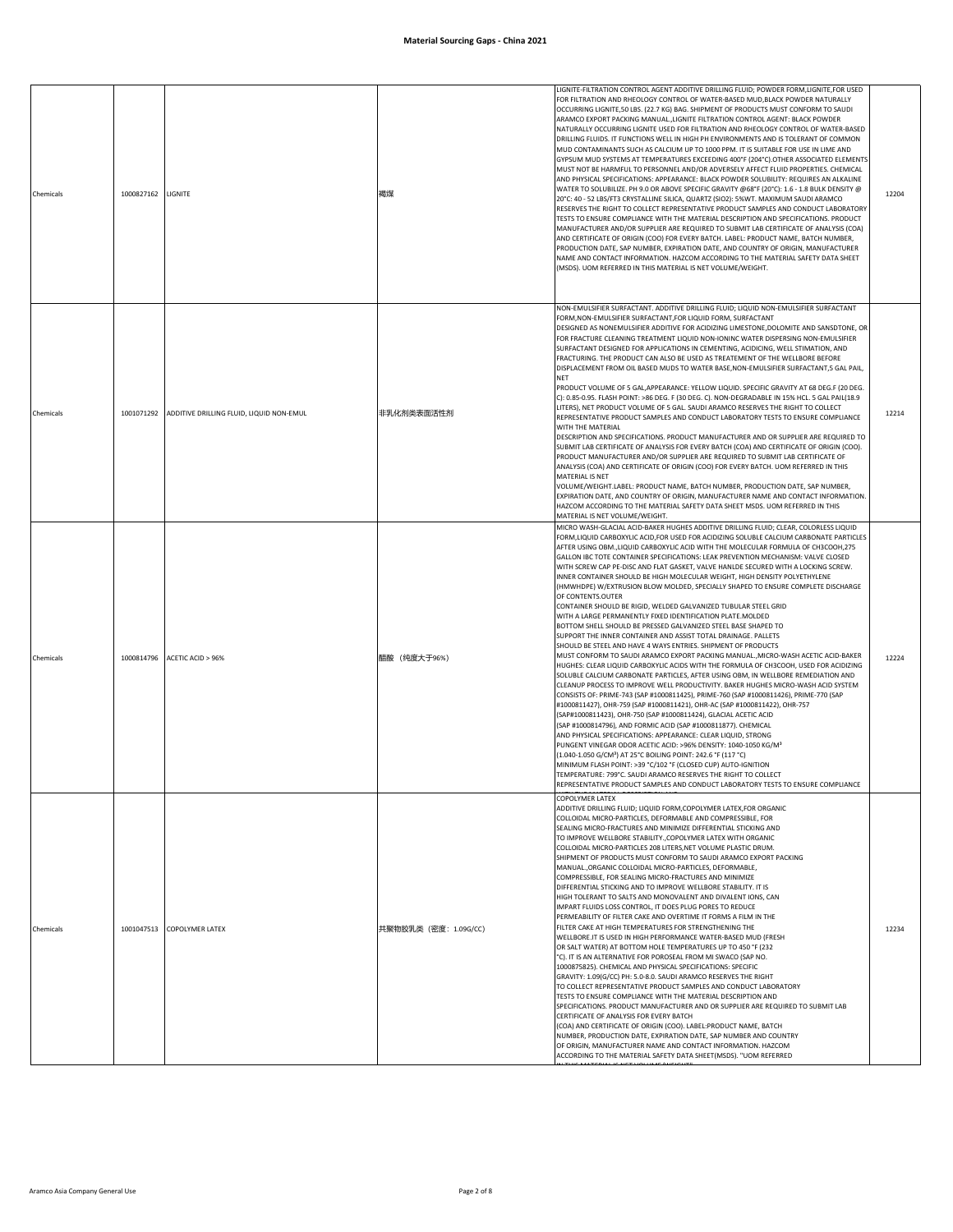| Chemicals | 1000827162 | LIGNITE                                             | 褐煤                    | LIGNITE-FILTRATION CONTROL AGENT ADDITIVE DRILLING FLUID; POWDER FORM,LIGNITE,FOR USED<br>FOR FILTRATION AND RHEOLOGY CONTROL OF WATER-BASED MUD, BLACK POWDER NATURALLY<br>OCCURRING LIGNITE,50 LBS. (22.7 KG) BAG. SHIPMENT OF PRODUCTS MUST CONFORM TO SAUDI<br>ARAMCO EXPORT PACKING MANUALLIGNITE FILTRATION CONTROL AGENT: BLACK POWDER<br>NATURALLY OCCURRING LIGNITE USED FOR FILTRATION AND RHEOLOGY CONTROL OF WATER-BASED<br>DRILLING FLUIDS. IT FUNCTIONS WELL IN HIGH PH ENVIRONMENTS AND IS TOLERANT OF COMMON<br>MUD CONTAMINANTS SUCH AS CALCIUM UP TO 1000 PPM. IT IS SUITABLE FOR USE IN LIME AND<br>GYPSUM MUD SYSTEMS AT TEMPERATURES EXCEEDING 400°F (204°C).OTHER ASSOCIATED ELEMENTS<br>MUST NOT BE HARMFUL TO PERSONNEL AND/OR ADVERSELY AFFECT FLUID PROPERTIES. CHEMICAL<br>AND PHYSICAL SPECIFICATIONS: APPEARANCE: BLACK POWDER SOLUBILITY: REQUIRES AN ALKALINE<br>WATER TO SOLUBILIZE. PH 9.0 OR ABOVE SPECIFIC GRAVITY @68°F (20°C): 1.6 - 1.8 BULK DENSITY @<br>20°C: 40 - 52 LBS/FT3 CRYSTALLINE SILICA, QUARTZ (SIO2): 5%WT. MAXIMUM SAUDI ARAMCO<br>RESERVES THE RIGHT TO COLLECT REPRESENTATIVE PRODUCT SAMPLES AND CONDUCT LABORATORY<br>TESTS TO ENSURE COMPLIANCE WITH THE MATERIAL DESCRIPTION AND SPECIFICATIONS. PRODUCT<br>MANUFACTURER AND/OR SUPPLIER ARE REQUIRED TO SUBMIT LAB CERTIFICATE OF ANALYSIS (COA)<br>AND CERTIFICATE OF ORIGIN (COO) FOR EVERY BATCH. LABEL: PRODUCT NAME, BATCH NUMBER,<br>PRODUCTION DATE, SAP NUMBER, EXPIRATION DATE, AND COUNTRY OF ORIGIN, MANUFACTURER<br>NAME AND CONTACT INFORMATION. HAZCOM ACCORDING TO THE MATERIAL SAFETY DATA SHEET<br>(MSDS). UOM REFERRED IN THIS MATERIAL IS NET VOLUME/WEIGHT.                                                                                                                                                                                                                                                                                                                                                                                                    | 12204 |
|-----------|------------|-----------------------------------------------------|-----------------------|-----------------------------------------------------------------------------------------------------------------------------------------------------------------------------------------------------------------------------------------------------------------------------------------------------------------------------------------------------------------------------------------------------------------------------------------------------------------------------------------------------------------------------------------------------------------------------------------------------------------------------------------------------------------------------------------------------------------------------------------------------------------------------------------------------------------------------------------------------------------------------------------------------------------------------------------------------------------------------------------------------------------------------------------------------------------------------------------------------------------------------------------------------------------------------------------------------------------------------------------------------------------------------------------------------------------------------------------------------------------------------------------------------------------------------------------------------------------------------------------------------------------------------------------------------------------------------------------------------------------------------------------------------------------------------------------------------------------------------------------------------------------------------------------------------------------------------------------------------------------------------------------------------------------------------------------------------------------------------------------------------------------------------------------------------------------------------------------------|-------|
| Chemicals |            | 1001071292 ADDITIVE DRILLING FLUID, LIQUID NON-EMUL | 非乳化剂类表面活性剂            | NON-EMULSIFIER SURFACTANT. ADDITIVE DRILLING FLUID; LIQUID NON-EMULSIFIER SURFACTANT<br>FORM, NON-EMULSIFIER SURFACTANT, FOR LIQUID FORM, SURFACTANT<br>DESIGNED AS NONEMULSIFIER ADDITIVE FOR ACIDIZING LIMESTONE, DOLOMITE AND SANSDTONE, OR<br>FOR FRACTURE CLEANING TREATMENT LIQUID NON-IONINC WATER DISPERSING NON-EMULSIFIER<br>SURFACTANT DESIGNED FOR APPLICATIONS IN CEMENTING, ACIDICING, WELL STIMATION, AND<br>FRACTURING. THE PRODUCT CAN ALSO BE USED AS TREATEMENT OF THE WELLBORE BEFORE<br>DISPLACEMENT FROM OIL BASED MUDS TO WATER BASE, NON-EMULSIFIER SURFACTANT, 5 GAL PAIL,<br><b>NET</b><br>PRODUCT VOLUME OF 5 GAL, APPEARANCE: YELLOW LIQUID. SPECIFIC GRAVITY AT 68 DEG.F (20 DEG.<br>C): 0.85-0.95. FLASH POINT: >86 DEG. F (30 DEG. C). NON-DEGRADABLE IN 15% HCL. 5 GAL PAIL(18.9<br>LITERS), NET PRODUCT VOLUME OF 5 GAL. SAUDI ARAMCO RESERVES THE RIGHT TO COLLECT<br>REPRESENTATIVE PRODUCT SAMPLES AND CONDUCT LABORATORY TESTS TO ENSURE COMPLIANCE<br>WITH THE MATERIAL<br>DESCRIPTION AND SPECIFICATIONS. PRODUCT MANUFACTURER AND OR SUPPLIER ARE REQUIRED TO<br>SUBMIT LAB CERTIFICATE OF ANALYSIS FOR EVERY BATCH (COA) AND CERTIFICATE OF ORIGIN (COO).<br>PRODUCT MANUFACTURER AND/OR SUPPLIER ARE REQUIRED TO SUBMIT LAB CERTIFICATE OF<br>ANALYSIS (COA) AND CERTIFICATE OF ORIGIN (COO) FOR EVERY BATCH. UOM REFERRED IN THIS<br>MATERIAL IS NET<br>VOLUME/WEIGHT.LABEL: PRODUCT NAME, BATCH NUMBER, PRODUCTION DATE, SAP NUMBER,<br>EXPIRATION DATE, AND COUNTRY OF ORIGIN, MANUFACTURER NAME AND CONTACT INFORMATION.<br>HAZCOM ACCORDING TO THE MATERIAL SAFETY DATA SHEET MSDS. UOM REFERRED IN THIS<br>MATERIAL IS NET VOLUME/WEIGHT.                                                                                                                                                                                                                                                                                                                                                                                                     | 12214 |
| Chemicals | 1000814796 | ACETIC ACID > 96%                                   | 醋酸 (纯度大于96%)          | MICRO WASH-GLACIAL ACID-BAKER HUGHES ADDITIVE DRILLING FLUID; CLEAR, COLORLESS LIQUID<br>FORM, LIQUID CARBOXYLIC ACID, FOR USED FOR ACIDIZING SOLUBLE CALCIUM CARBONATE PARTICLES<br>AFTER USING OBM., LIQUID CARBOXYLIC ACID WITH THE MOLECULAR FORMULA OF CH3COOH, 275<br>GALLON IBC TOTE CONTAINER SPECIFICATIONS: LEAK PREVENTION MECHANISM: VALVE CLOSED<br>WITH SCREW CAP PE-DISC AND FLAT GASKET, VALVE HANLDE SECURED WITH A LOCKING SCREW.<br>INNER CONTAINER SHOULD BE HIGH MOLECULAR WEIGHT, HIGH DENSITY POLYETHYLENE<br>(HMWHDPE) W/EXTRUSION BLOW MOLDED, SPECIALLY SHAPED TO ENSURE COMPLETE DISCHARGE<br>OF CONTENTS.OUTER<br>CONTAINER SHOULD BE RIGID, WELDED GALVANIZED TUBULAR STEEL GRID<br>WITH A LARGE PERMANENTLY FIXED IDENTIFICATION PLATE.MOLDED<br>BOTTOM SHELL SHOULD BE PRESSED GALVANIZED STEEL BASE SHAPED TO<br>SUPPORT THE INNER CONTAINER AND ASSIST TOTAL DRAINAGE. PALLETS<br>SHOULD BE STEEL AND HAVE 4 WAYS ENTRIES. SHIPMENT OF PRODUCTS<br>MUST CONFORM TO SAUDI ARAMCO EXPORT PACKING MANUAL., MICRO-WASH ACETIC ACID-BAKER<br>HUGHES: CLEAR LIQUID CARBOXYLIC ACIDS WITH THE FORMULA OF CH3COOH, USED FOR ACIDIZING<br>SOLUBLE CALCIUM CARBONATE PARTICLES, AFTER USING OBM, IN WELLBORE REMEDIATION AND<br>CLEANUP PROCESS TO IMPROVE WELL PRODUCTIVITY. BAKER HUGHES MICRO-WASH ACID SYSTEM<br>CONSISTS OF: PRIME-743 (SAP #1000811425), PRIME-760 (SAP #1000811426), PRIME-770 (SAP<br>#1000811427), OHR-759 (SAP #1000811421), OHR-AC (SAP #1000811422), OHR-757<br>(SAP#1000811423), OHR-750 (SAP #1000811424), GLACIAL ACETIC ACID<br>(SAP #1000814796), AND FORMIC ACID (SAP #1000811877). CHEMICAL<br>AND PHYSICAL SPECIFICATIONS: APPEARANCE: CLEAR LIQUID, STRONG<br>PUNGENT VINEGAR ODOR ACETIC ACID: >96% DENSITY: 1040-1050 KG/M3<br>(1.040-1.050 G/CM <sup>3</sup> ) AT 25°C BOILING POINT: 242.6 °F (117 °C)<br>MINIMUM FLASH POINT: >39 °C/102 °F (CLOSED CUP) AUTO-IGNITION<br>TEMPERATURE: 799°C. SAUDI ARAMCO RESERVES THE RIGHT TO COLLECT<br>REPRESENTATIVE PRODUCT SAMPLES AND CONDUCT LABORATORY TESTS TO ENSURE COMPLIANCE | 12224 |
| Chemicals |            | 1001047513 COPOLYMER LATEX                          | 共聚物胶乳类 (密度: 1.09G/CC) | <b>COPOLYMER LATEX</b><br>ADDITIVE DRILLING FLUID; LIQUID FORM, COPOLYMER LATEX, FOR ORGANIC<br>COLLOIDAL MICRO-PARTICLES, DEFORMABLE AND COMPRESSIBLE, FOR<br>SEALING MICRO-FRACTURES AND MINIMIZE DIFFERENTIAL STICKING AND<br>TO IMPROVE WELLBORE STABILITY., COPOLYMER LATEX WITH ORGANIC<br>COLLOIDAL MICRO-PARTICLES 208 LITERS.NET VOLUME PLASTIC DRUM.<br>SHIPMENT OF PRODUCTS MUST CONFORM TO SAUDI ARAMCO EXPORT PACKING<br>MANUAL., ORGANIC COLLOIDAL MICRO-PARTICLES, DEFORMABLE,<br>COMPRESSIBLE, FOR SEALING MICRO-FRACTURES AND MINIMIZE<br>DIFFERENTIAL STICKING AND TO IMPROVE WELLBORE STABILITY. IT IS<br>HIGH TOLERANT TO SALTS AND MONOVALENT AND DIVALENT IONS, CAN<br>IMPART FLUIDS LOSS CONTROL, IT DOES PLUG PORES TO REDUCE<br>PERMEABILITY OF FILTER CAKE AND OVERTIME IT FORMS A FILM IN THE<br>FILTER CAKE AT HIGH TEMPERATURES FOR STRENGTHENING THE<br>WELLBORE.IT IS USED IN HIGH PERFORMANCE WATER-BASED MUD (FRESH<br>OR SALT WATER) AT BOTTOM HOLE TEMPERATURES UP TO 450 °F (232<br>°C). IT IS AN ALTERNATIVE FOR POROSEAL FROM MI SWACO (SAP NO.<br>1000875825). CHEMICAL AND PHYSICAL SPECIFICATIONS: SPECIFIC<br>GRAVITY: 1.09(G/CC) PH: 5.0-8.0. SAUDI ARAMCO RESERVES THE RIGHT<br>TO COLLECT REPRESENTATIVE PRODUCT SAMPLES AND CONDUCT LABORATORY<br>TESTS TO ENSURE COMPLIANCE WITH THE MATERIAL DESCRIPTION AND<br>SPECIFICATIONS. PRODUCT MANUFACTURER AND OR SUPPLIER ARE REQUIRED TO SUBMIT LAB<br>CERTIFICATE OF ANALYSIS FOR EVERY BATCH<br>(COA) AND CERTIFICATE OF ORIGIN (COO). LABEL:PRODUCT NAME, BATCH<br>NUMBER, PRODUCTION DATE, EXPIRATION DATE, SAP NUMBER AND COUNTRY<br>OF ORIGIN, MANUFACTURER NAME AND CONTACT INFORMATION. HAZCOM<br>ACCORDING TO THE MATERIAL SAFETY DATA SHEET(MSDS). "UOM REFERRED                                                                                                                                                                                                                                                                                                                        | 12234 |

IN THIS MATERIAL IS NET VOLUME/WEIGHT"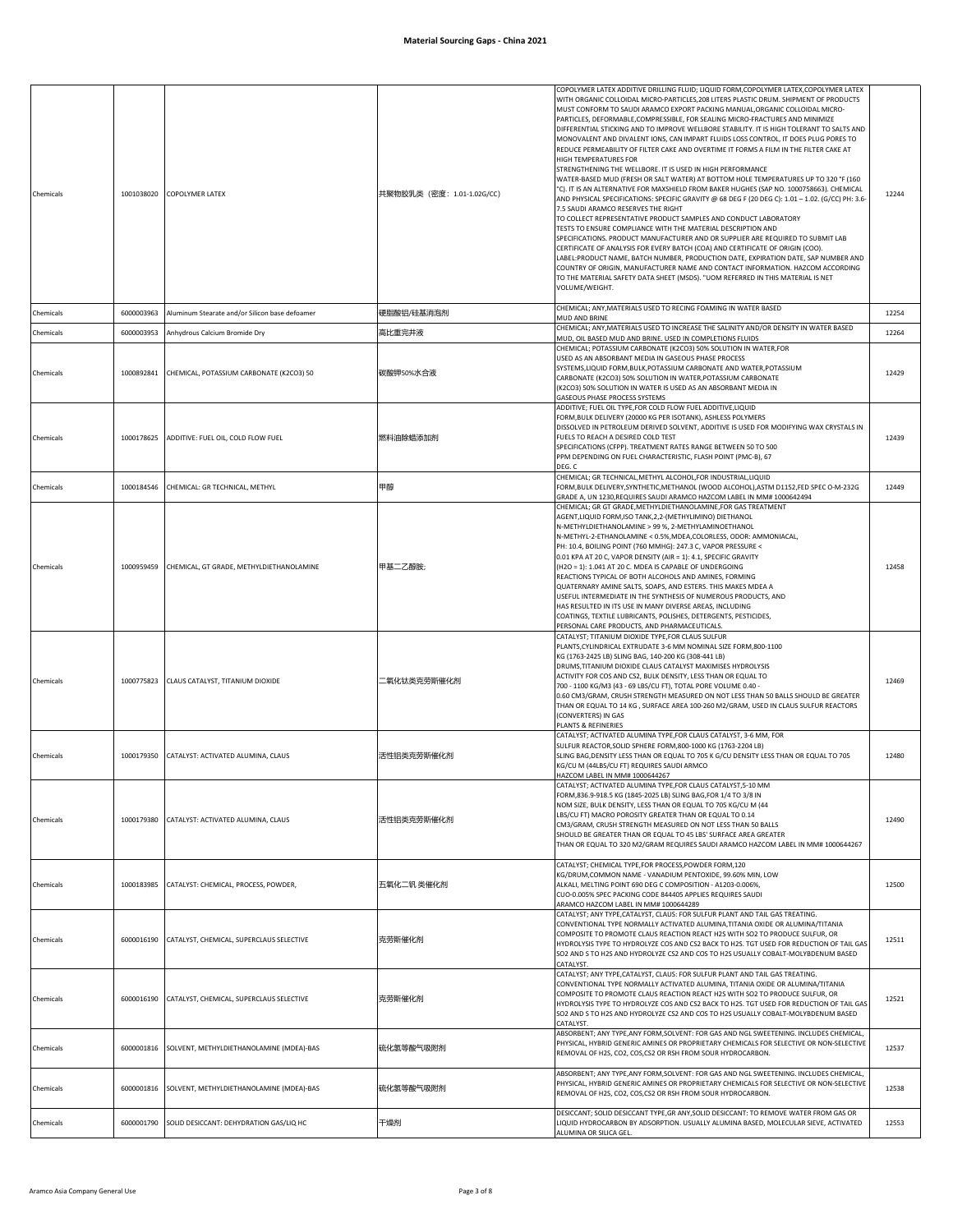| Chemicals |            | 1001038020 COPOLYMER LATEX                          | 共聚物胶乳类 (密度: 1.01-1.02G/CC) | COPOLYMER LATEX ADDITIVE DRILLING FLUID; LIQUID FORM, COPOLYMER LATEX, COPOLYMER LATEX<br>WITH ORGANIC COLLOIDAL MICRO-PARTICLES, 208 LITERS PLASTIC DRUM. SHIPMENT OF PRODUCTS<br>MUST CONFORM TO SAUDI ARAMCO EXPORT PACKING MANUAL, ORGANIC COLLOIDAL MICRO-<br>PARTICLES, DEFORMABLE, COMPRESSIBLE, FOR SEALING MICRO-FRACTURES AND MINIMIZE<br>DIFFERENTIAL STICKING AND TO IMPROVE WELLBORE STABILITY. IT IS HIGH TOLERANT TO SALTS AND<br>MONOVALENT AND DIVALENT IONS, CAN IMPART FLUIDS LOSS CONTROL, IT DOES PLUG PORES TO<br>REDUCE PERMEABILITY OF FILTER CAKE AND OVERTIME IT FORMS A FILM IN THE FILTER CAKE AT<br>HIGH TEMPERATURES FOR<br>STRENGTHENING THE WELLBORE. IT IS USED IN HIGH PERFORMANCE<br>WATER-BASED MUD (FRESH OR SALT WATER) AT BOTTOM HOLE TEMPERATURES UP TO 320 °F (160<br>°C). IT IS AN ALTERNATIVE FOR MAXSHIELD FROM BAKER HUGHES (SAP NO. 1000758663). CHEMICAL<br>AND PHYSICAL SPECIFICATIONS: SPECIFIC GRAVITY @ 68 DEG F (20 DEG C): 1.01 - 1.02. (G/CC) PH: 3.6-<br>7.5 SAUDI ARAMCO RESERVES THE RIGHT<br>TO COLLECT REPRESENTATIVE PRODUCT SAMPLES AND CONDUCT LABORATORY<br>TESTS TO ENSURE COMPLIANCE WITH THE MATERIAL DESCRIPTION AND<br>SPECIFICATIONS. PRODUCT MANUFACTURER AND OR SUPPLIER ARE REQUIRED TO SUBMIT LAB<br>CERTIFICATE OF ANALYSIS FOR EVERY BATCH (COA) AND CERTIFICATE OF ORIGIN (COO).<br>LABEL: PRODUCT NAME, BATCH NUMBER, PRODUCTION DATE, EXPIRATION DATE, SAP NUMBER AND<br>COUNTRY OF ORIGIN, MANUFACTURER NAME AND CONTACT INFORMATION. HAZCOM ACCORDING<br>TO THE MATERIAL SAFETY DATA SHEET (MSDS). "UOM REFERRED IN THIS MATERIAL IS NET<br>VOLUME/WEIGHT. | 12244 |
|-----------|------------|-----------------------------------------------------|----------------------------|--------------------------------------------------------------------------------------------------------------------------------------------------------------------------------------------------------------------------------------------------------------------------------------------------------------------------------------------------------------------------------------------------------------------------------------------------------------------------------------------------------------------------------------------------------------------------------------------------------------------------------------------------------------------------------------------------------------------------------------------------------------------------------------------------------------------------------------------------------------------------------------------------------------------------------------------------------------------------------------------------------------------------------------------------------------------------------------------------------------------------------------------------------------------------------------------------------------------------------------------------------------------------------------------------------------------------------------------------------------------------------------------------------------------------------------------------------------------------------------------------------------------------------------------------------------------------------------------------------------------------------------------|-------|
| Chemicals | 6000003963 | Aluminum Stearate and/or Silicon base defoamer      | 硬脂酸铝/硅基消泡剂                 | CHEMICAL; ANY, MATERIALS USED TO RECING FOAMING IN WATER BASED<br>MUD AND BRINE                                                                                                                                                                                                                                                                                                                                                                                                                                                                                                                                                                                                                                                                                                                                                                                                                                                                                                                                                                                                                                                                                                                                                                                                                                                                                                                                                                                                                                                                                                                                                            | 12254 |
| Chemicals | 6000003953 | Anhydrous Calcium Bromide Dry                       | 高比重完井液                     | CHEMICAL; ANY, MATERIALS USED TO INCREASE THE SALINITY AND/OR DENSITY IN WATER BASED                                                                                                                                                                                                                                                                                                                                                                                                                                                                                                                                                                                                                                                                                                                                                                                                                                                                                                                                                                                                                                                                                                                                                                                                                                                                                                                                                                                                                                                                                                                                                       | 12264 |
| Chemicals | 1000892841 | CHEMICAL, POTASSIUM CARBONATE (K2CO3) 50            | 碳酸钾50%水合液                  | MUD, OIL BASED MUD AND BRINE. USED IN COMPLETIONS FLUIDS<br>CHEMICAL; POTASSIUM CARBONATE (K2CO3) 50% SOLUTION IN WATER, FOR<br>USED AS AN ABSORBANT MEDIA IN GASEOUS PHASE PROCESS<br>SYSTEMS,LIQUID FORM,BULK,POTASSIUM CARBONATE AND WATER,POTASSIUM<br>CARBONATE (K2CO3) 50% SOLUTION IN WATER,POTASSIUM CARBONATE<br>(K2CO3) 50% SOLUTION IN WATER IS USED AS AN ABSORBANT MEDIA IN<br>GASEOUS PHASE PROCESS SYSTEMS                                                                                                                                                                                                                                                                                                                                                                                                                                                                                                                                                                                                                                                                                                                                                                                                                                                                                                                                                                                                                                                                                                                                                                                                                  | 12429 |
| Chemicals |            | 1000178625 ADDITIVE: FUEL OIL, COLD FLOW FUEL       | 燃料油除蜡添加剂                   | ADDITIVE; FUEL OIL TYPE,FOR COLD FLOW FUEL ADDITIVE,LIQUID<br>FORM, BULK DELIVERY (20000 KG PER ISOTANK), ASHLESS POLYMERS<br>DISSOLVED IN PETROLEUM DERIVED SOLVENT, ADDITIVE IS USED FOR MODIFYING WAX CRYSTALS IN<br>FUELS TO REACH A DESIRED COLD TEST<br>SPECIFICATIONS (CFPP). TREATMENT RATES RANGE BETWEEN 50 TO 500<br>PPM DEPENDING ON FUEL CHARACTERISTIC, FLASH POINT (PMC-B), 67<br>DEG. C                                                                                                                                                                                                                                                                                                                                                                                                                                                                                                                                                                                                                                                                                                                                                                                                                                                                                                                                                                                                                                                                                                                                                                                                                                    | 12439 |
| Chemicals | 1000184546 | CHEMICAL: GR TECHNICAL, METHYL                      | 甲醇                         | CHEMICAL; GR TECHNICAL, METHYL ALCOHOL, FOR INDUSTRIAL, LIQUID<br>FORM, BULK DELIVERY, SYNTHETIC, METHANOL (WOOD ALCOHOL), ASTM D1152, FED SPEC O-M-232G<br>GRADE A, UN 1230, REQUIRES SAUDI ARAMCO HAZCOM LABEL IN MM# 1000642494                                                                                                                                                                                                                                                                                                                                                                                                                                                                                                                                                                                                                                                                                                                                                                                                                                                                                                                                                                                                                                                                                                                                                                                                                                                                                                                                                                                                         | 12449 |
| Chemicals | 1000959459 | CHEMICAL, GT GRADE, METHYLDIETHANOLAMINE            | 甲基二乙醇胺                     | CHEMICAL; GR GT GRADE, METHYLDIETHANOLAMINE, FOR GAS TREATMENT<br>AGENT, LIQUID FORM, ISO TANK, 2, 2- (METHYLIMINO) DIETHANOL<br>N-METHYLDIETHANOLAMINE > 99 %, 2-METHYLAMINOETHANOL<br>N-METHYL-2-ETHANOLAMINE < 0.5%, MDEA, COLORLESS, ODOR: AMMONIACAL,<br>PH: 10.4, BOILING POINT (760 MMHG): 247.3 C, VAPOR PRESSURE <<br>0.01 KPA AT 20 C, VAPOR DENSITY (AIR = 1): 4.1, SPECIFIC GRAVITY<br>(H2O = 1): 1.041 AT 20 C. MDEA IS CAPABLE OF UNDERGOING<br>REACTIONS TYPICAL OF BOTH ALCOHOLS AND AMINES, FORMING<br>QUATERNARY AMINE SALTS, SOAPS, AND ESTERS. THIS MAKES MDEA A<br>USEFUL INTERMEDIATE IN THE SYNTHESIS OF NUMEROUS PRODUCTS, AND<br>HAS RESULTED IN ITS USE IN MANY DIVERSE AREAS, INCLUDING<br>COATINGS, TEXTILE LUBRICANTS, POLISHES, DETERGENTS, PESTICIDES,<br>PERSONAL CARE PRODUCTS, AND PHARMACEUTICALS.                                                                                                                                                                                                                                                                                                                                                                                                                                                                                                                                                                                                                                                                                                                                                                                                      | 12458 |
| Chemicals |            | 1000775823 CLAUS CATALYST, TITANIUM DIOXIDE         | 二氧化钛类克劳斯催化剂                | CATALYST; TITANIUM DIOXIDE TYPE,FOR CLAUS SULFUR<br>PLANTS, CYLINDRICAL EXTRUDATE 3-6 MM NOMINAL SIZE FORM, 800-1100<br>KG (1763-2425 LB) SLING BAG, 140-200 KG (308-441 LB)<br>DRUMS, TITANIUM DIOXIDE CLAUS CATALYST MAXIMISES HYDROLYSIS<br>ACTIVITY FOR COS AND CS2, BULK DENSITY, LESS THAN OR EQUAL TO<br>700 - 1100 KG/M3 (43 - 69 LBS/CU FT), TOTAL PORE VOLUME 0.40 -<br>0.60 CM3/GRAM, CRUSH STRENGTH MEASURED ON NOT LESS THAN 50 BALLS SHOULD BE GREATER<br>THAN OR EQUAL TO 14 KG, SURFACE AREA 100-260 M2/GRAM, USED IN CLAUS SULFUR REACTORS<br>(CONVERTERS) IN GAS<br>PLANTS & REFINERIES                                                                                                                                                                                                                                                                                                                                                                                                                                                                                                                                                                                                                                                                                                                                                                                                                                                                                                                                                                                                                                  | 12469 |
| Chemicals | 1000179350 | CATALYST: ACTIVATED ALUMINA, CLAUS                  | 活性铝类克劳斯催化剂                 | CATALYST; ACTIVATED ALUMINA TYPE, FOR CLAUS CATALYST, 3-6 MM, FOR<br>SULFUR REACTOR, SOLID SPHERE FORM, 800-1000 KG (1763-2204 LB)<br>SLING BAG, DENSITY LESS THAN OR EQUAL TO 705 K G/CU DENSITY LESS THAN OR EQUAL TO 705<br>KG/CU M (44LBS/CU FT) REQUIRES SAUDI ARMCO<br>HAZCOM LABEL IN MM# 1000644267                                                                                                                                                                                                                                                                                                                                                                                                                                                                                                                                                                                                                                                                                                                                                                                                                                                                                                                                                                                                                                                                                                                                                                                                                                                                                                                                | 12480 |
| Chemicals |            | 1000179380 CATALYST: ACTIVATED ALUMINA, CLAUS       | 活性铝类克劳斯催化剂                 | CATALYST; ACTIVATED ALUMINA TYPE, FOR CLAUS CATALYST, 5-10 MM<br>FORM,836.9-918.5 KG (1845-2025 LB) SLING BAG,FOR 1/4 TO 3/8 IN<br>NOM SIZE, BULK DENSITY, LESS THAN OR EQUAL TO 705 KG/CU M (44<br>LBS/CU FT) MACRO POROSITY GREATER THAN OR EQUAL TO 0.14<br>CM3/GRAM, CRUSH STRENGTH MEASURED ON NOT LESS THAN 50 BALLS<br>SHOULD BE GREATER THAN OR EQUAL TO 45 LBS' SURFACE AREA GREATER<br>THAN OR EQUAL TO 320 M2/GRAM REQUIRES SAUDI ARAMCO HAZCOM LABEL IN MM# 1000644267                                                                                                                                                                                                                                                                                                                                                                                                                                                                                                                                                                                                                                                                                                                                                                                                                                                                                                                                                                                                                                                                                                                                                         | 12490 |
| Chemicals | 1000183985 | CATALYST: CHEMICAL, PROCESS, POWDER,                | 五氧化二钒 类催化剂                 | CATALYST; CHEMICAL TYPE,FOR PROCESS,POWDER FORM,120<br>KG/DRUM, COMMON NAME - VANADIUM PENTOXIDE, 99.60% MIN, LOW<br>ALKALI, MELTING POINT 690 DEG C COMPOSITION - A1203-0.006%,<br>CUO-0.005% SPEC PACKING CODE 844405 APPLIES REQUIRES SAUDI<br>ARAMCO HAZCOM LABEL IN MM# 1000644289                                                                                                                                                                                                                                                                                                                                                                                                                                                                                                                                                                                                                                                                                                                                                                                                                                                                                                                                                                                                                                                                                                                                                                                                                                                                                                                                                    | 12500 |
| Chemicals |            | 6000016190 CATALYST, CHEMICAL, SUPERCLAUS SELECTIVE | 克劳斯催化剂                     | CATALYST; ANY TYPE, CATALYST, CLAUS: FOR SULFUR PLANT AND TAIL GAS TREATING.<br>CONVENTIONAL TYPE NORMALLY ACTIVATED ALUMINA, TITANIA OXIDE OR ALUMINA/TITANIA<br>COMPOSITE TO PROMOTE CLAUS REACTION REACT H2S WITH SO2 TO PRODUCE SULFUR, OR<br>HYDROLYSIS TYPE TO HYDROLYZE COS AND CS2 BACK TO H2S. TGT USED FOR REDUCTION OF TAIL GAS<br>SO2 AND S TO H2S AND HYDROLYZE CS2 AND COS TO H2S USUALLY COBALT-MOLYBDENUM BASED<br>CATALYST                                                                                                                                                                                                                                                                                                                                                                                                                                                                                                                                                                                                                                                                                                                                                                                                                                                                                                                                                                                                                                                                                                                                                                                                | 12511 |
| Chemicals | 6000016190 | CATALYST, CHEMICAL, SUPERCLAUS SELECTIVE            | 克劳斯催化剂                     | CATALYST; ANY TYPE, CATALYST, CLAUS: FOR SULFUR PLANT AND TAIL GAS TREATING.<br>CONVENTIONAL TYPE NORMALLY ACTIVATED ALUMINA, TITANIA OXIDE OR ALUMINA/TITANIA<br>COMPOSITE TO PROMOTE CLAUS REACTION REACT H2S WITH SO2 TO PRODUCE SULFUR, OR<br>HYDROLYSIS TYPE TO HYDROLYZE COS AND CS2 BACK TO H2S. TGT USED FOR REDUCTION OF TAIL GAS<br>SO2 AND S TO H2S AND HYDROLYZE CS2 AND COS TO H2S USUALLY COBALT-MOLYBDENUM BASED<br>CATALYST.                                                                                                                                                                                                                                                                                                                                                                                                                                                                                                                                                                                                                                                                                                                                                                                                                                                                                                                                                                                                                                                                                                                                                                                               | 12521 |
| Chemicals | 6000001816 | SOLVENT, METHYLDIETHANOLAMINE (MDEA)-BAS            | 硫化氢等酸气吸附剂                  | ABSORBENT; ANY TYPE,ANY FORM,SOLVENT: FOR GAS AND NGL SWEETENING. INCLUDES CHEMICAL,<br>PHYSICAL, HYBRID GENERIC AMINES OR PROPRIETARY CHEMICALS FOR SELECTIVE OR NON-SELECTIVE<br>REMOVAL OF H2S, CO2, COS, CS2 OR RSH FROM SOUR HYDROCARBON.                                                                                                                                                                                                                                                                                                                                                                                                                                                                                                                                                                                                                                                                                                                                                                                                                                                                                                                                                                                                                                                                                                                                                                                                                                                                                                                                                                                             | 12537 |
| Chemicals | 6000001816 | SOLVENT, METHYLDIETHANOLAMINE (MDEA)-BAS            | 硫化氢等酸气吸附剂                  | ABSORBENT; ANY TYPE, ANY FORM, SOLVENT: FOR GAS AND NGL SWEETENING. INCLUDES CHEMICAL<br>PHYSICAL, HYBRID GENERIC AMINES OR PROPRIETARY CHEMICALS FOR SELECTIVE OR NON-SELECTIVE<br>REMOVAL OF H2S, CO2, COS, CS2 OR RSH FROM SOUR HYDROCARBON.                                                                                                                                                                                                                                                                                                                                                                                                                                                                                                                                                                                                                                                                                                                                                                                                                                                                                                                                                                                                                                                                                                                                                                                                                                                                                                                                                                                            | 12538 |
| Chemicals | 6000001790 | SOLID DESICCANT: DEHYDRATION GAS/LIQ HC             | 干燥剂                        | DESICCANT; SOLID DESICCANT TYPE, GR ANY, SOLID DESICCANT: TO REMOVE WATER FROM GAS OR<br>LIQUID HYDROCARBON BY ADSORPTION. USUALLY ALUMINA BASED, MOLECULAR SIEVE, ACTIVATED<br>ALUMINA OR SILICA GEL                                                                                                                                                                                                                                                                                                                                                                                                                                                                                                                                                                                                                                                                                                                                                                                                                                                                                                                                                                                                                                                                                                                                                                                                                                                                                                                                                                                                                                      | 12553 |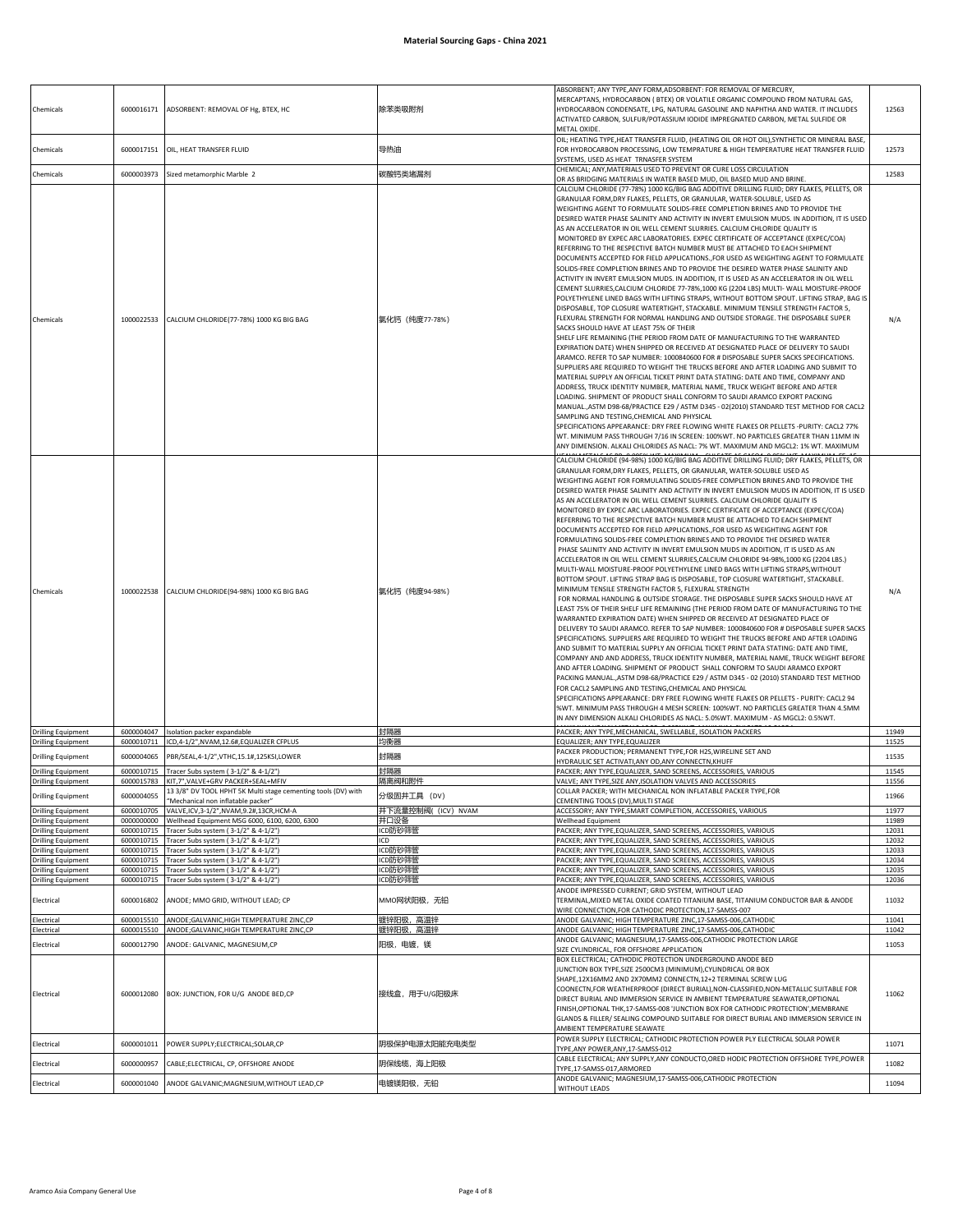| Chemicals                                              | 6000016171               | ADSORBENT: REMOVAL OF Hg, BTEX, HC                                                               | 除苯类吸附剂                     | ABSORBENT; ANY TYPE, ANY FORM, ADSORBENT: FOR REMOVAL OF MERCURY,<br>MERCAPTANS, HYDROCARBON (BTEX) OR VOLATILE ORGANIC COMPOUND FROM NATURAL GAS,<br>HYDROCARBON CONDENSATE, LPG, NATURAL GASOLINE AND NAPHTHA AND WATER. IT INCLUDES<br>ACTIVATED CARBON, SULFUR/POTASSIUM IODIDE IMPREGNATED CARBON, METAL SULFIDE OR<br>METAL OXIDE.                                                                                                                                                                                                                                                                                                                                                                                                                                                                                                                                                                                                                                                                                                                                                                                                                                                                                                                                                                                                                                                                                                                                                                                                                                                                                                                                                                                                                                                                                                                                                                                                                                                                                                                                                                                                                                                                                                                                                                    | 12563          |
|--------------------------------------------------------|--------------------------|--------------------------------------------------------------------------------------------------|----------------------------|-------------------------------------------------------------------------------------------------------------------------------------------------------------------------------------------------------------------------------------------------------------------------------------------------------------------------------------------------------------------------------------------------------------------------------------------------------------------------------------------------------------------------------------------------------------------------------------------------------------------------------------------------------------------------------------------------------------------------------------------------------------------------------------------------------------------------------------------------------------------------------------------------------------------------------------------------------------------------------------------------------------------------------------------------------------------------------------------------------------------------------------------------------------------------------------------------------------------------------------------------------------------------------------------------------------------------------------------------------------------------------------------------------------------------------------------------------------------------------------------------------------------------------------------------------------------------------------------------------------------------------------------------------------------------------------------------------------------------------------------------------------------------------------------------------------------------------------------------------------------------------------------------------------------------------------------------------------------------------------------------------------------------------------------------------------------------------------------------------------------------------------------------------------------------------------------------------------------------------------------------------------------------------------------------------------|----------------|
| Chemicals                                              | 6000017151               | OIL, HEAT TRANSFER FLUID                                                                         | 导热油                        | OIL; HEATING TYPE, HEAT TRANSFER FLUID, (HEATING OIL OR HOT OIL), SYNTHETIC OR MINERAL BASE,<br>FOR HYDROCARBON PROCESSING, LOW TEMPRATURE & HIGH TEMPERATURE HEAT TRANSFER FLUID<br>SYSTEMS, USED AS HEAT TRNASFER SYSTEM                                                                                                                                                                                                                                                                                                                                                                                                                                                                                                                                                                                                                                                                                                                                                                                                                                                                                                                                                                                                                                                                                                                                                                                                                                                                                                                                                                                                                                                                                                                                                                                                                                                                                                                                                                                                                                                                                                                                                                                                                                                                                  | 12573          |
| Chemicals                                              | 6000003973               | Sized metamorphic Marble 2                                                                       | 碳酸钙类堵漏剂                    | CHEMICAL; ANY, MATERIALS USED TO PREVENT OR CURE LOSS CIRCULATION<br>OR AS BRIDGING MATERIALS IN WATER BASED MUD, OIL BASED MUD AND BRINE.                                                                                                                                                                                                                                                                                                                                                                                                                                                                                                                                                                                                                                                                                                                                                                                                                                                                                                                                                                                                                                                                                                                                                                                                                                                                                                                                                                                                                                                                                                                                                                                                                                                                                                                                                                                                                                                                                                                                                                                                                                                                                                                                                                  | 12583          |
| Chemicals                                              | 1000022533               | CALCIUM CHLORIDE(77-78%) 1000 KG BIG BAG                                                         | 氯化钙 (纯度77-78%)             | CALCIUM CHLORIDE (77-78%) 1000 KG/BIG BAG ADDITIVE DRILLING FLUID; DRY FLAKES, PELLETS, OR<br>GRANULAR FORM, DRY FLAKES, PELLETS, OR GRANULAR, WATER-SOLUBLE, USED AS<br>WEIGHTING AGENT TO FORMULATE SOLIDS-FREE COMPLETION BRINES AND TO PROVIDE THE<br>DESIRED WATER PHASE SALINITY AND ACTIVITY IN INVERT EMULSION MUDS. IN ADDITION, IT IS USED<br>AS AN ACCELERATOR IN OIL WELL CEMENT SLURRIES. CALCIUM CHLORIDE QUALITY IS<br>MONITORED BY EXPEC ARC LABORATORIES. EXPEC CERTIFICATE OF ACCEPTANCE (EXPEC/COA)<br>REFERRING TO THE RESPECTIVE BATCH NUMBER MUST BE ATTACHED TO EACH SHIPMENT<br>DOCUMENTS ACCEPTED FOR FIELD APPLICATIONS., FOR USED AS WEIGHTING AGENT TO FORMULATE<br>SOLIDS-FREE COMPLETION BRINES AND TO PROVIDE THE DESIRED WATER PHASE SALINITY AND<br>ACTIVITY IN INVERT EMULSION MUDS. IN ADDITION, IT IS USED AS AN ACCELERATOR IN OIL WELL<br>CEMENT SLURRIES, CALCIUM CHLORIDE 77-78%, 1000 KG (2204 LBS) MULTI- WALL MOISTURE-PROOF<br>POLYETHYLENE LINED BAGS WITH LIFTING STRAPS, WITHOUT BOTTOM SPOUT. LIFTING STRAP, BAG IS<br>DISPOSABLE, TOP CLOSURE WATERTIGHT, STACKABLE. MINIMUM TENSILE STRENGTH FACTOR 5,<br>FLEXURAL STRENGTH FOR NORMAL HANDLING AND OUTSIDE STORAGE. THE DISPOSABLE SUPER<br>SACKS SHOULD HAVE AT LEAST 75% OF THEIR<br>SHELF LIFE REMAINING (THE PERIOD FROM DATE OF MANUFACTURING TO THE WARRANTED<br>EXPIRATION DATE) WHEN SHIPPED OR RECEIVED AT DESIGNATED PLACE OF DELIVERY TO SAUDI<br>ARAMCO. REFER TO SAP NUMBER: 1000840600 FOR # DISPOSABLE SUPER SACKS SPECIFICATIONS.<br>SUPPLIERS ARE REQUIRED TO WEIGHT THE TRUCKS BEFORE AND AFTER LOADING AND SUBMIT TO<br>MATERIAL SUPPLY AN OFFICIAL TICKET PRINT DATA STATING: DATE AND TIME, COMPANY AND<br>ADDRESS, TRUCK IDENTITY NUMBER, MATERIAL NAME, TRUCK WEIGHT BEFORE AND AFTER<br>LOADING. SHIPMENT OF PRODUCT SHALL CONFORM TO SAUDI ARAMCO EXPORT PACKING<br>MANUAL.,ASTM D98-68/PRACTICE E29 / ASTM D345 - 02(2010) STANDARD TEST METHOD FOR CACL2<br>SAMPLING AND TESTING, CHEMICAL AND PHYSICAL<br>SPECIFICATIONS APPEARANCE: DRY FREE FLOWING WHITE FLAKES OR PELLETS -PURITY: CACL2 77%<br>WT. MINIMUM PASS THROUGH 7/16 IN SCREEN: 100%WT. NO PARTICLES GREATER THAN 11MM IN<br>ANY DIMENSION. ALKALI CHLORIDES AS NACL: 7% WT. MAXIMUM AND MGCL2: 1% WT. MAXIMUM  | N/A            |
| Chemicals                                              | 1000022538               | CALCIUM CHLORIDE(94-98%) 1000 KG BIG BAG                                                         | 氯化钙 (纯度94-98%)             | CALCIUM CHLORIDE (94-98%) 1000 KG/BIG BAG ADDITIVE DRILLING FLUID; DRY FLAKES, PELLETS, OR<br>GRANULAR FORM, DRY FLAKES, PELLETS, OR GRANULAR, WATER-SOLUBLE USED AS<br>WEIGHTING AGENT FOR FORMULATING SOLIDS-FREE COMPLETION BRINES AND TO PROVIDE THE<br>DESIRED WATER PHASE SALINITY AND ACTIVITY IN INVERT EMULSION MUDS IN ADDITION, IT IS USED<br>AS AN ACCELERATOR IN OIL WELL CEMENT SLURRIES. CALCIUM CHLORIDE QUALITY IS<br>MONITORED BY EXPEC ARC LABORATORIES. EXPEC CERTIFICATE OF ACCEPTANCE (EXPEC/COA)<br>REFERRING TO THE RESPECTIVE BATCH NUMBER MUST BE ATTACHED TO EACH SHIPMENT<br>DOCUMENTS ACCEPTED FOR FIELD APPLICATIONS., FOR USED AS WEIGHTING AGENT FOR<br>FORMULATING SOLIDS-FREE COMPLETION BRINES AND TO PROVIDE THE DESIRED WATER<br>PHASE SALINITY AND ACTIVITY IN INVERT EMULSION MUDS IN ADDITION, IT IS USED AS AN<br>ACCELERATOR IN OIL WELL CEMENT SLURRIES, CALCIUM CHLORIDE 94-98%, 1000 KG (2204 LBS.)<br>MULTI-WALL MOISTURE-PROOF POLYETHYLENE LINED BAGS WITH LIFTING STRAPS, WITHOUT<br>BOTTOM SPOUT. LIFTING STRAP BAG IS DISPOSABLE, TOP CLOSURE WATERTIGHT, STACKABLE.<br>MINIMUM TENSILE STRENGTH FACTOR 5, FLEXURAL STRENGTH<br>FOR NORMAL HANDLING & OUTSIDE STORAGE. THE DISPOSABLE SUPER SACKS SHOULD HAVE AT<br>LEAST 75% OF THEIR SHELF LIFE REMAINING (THE PERIOD FROM DATE OF MANUFACTURING TO THE<br>WARRANTED EXPIRATION DATE) WHEN SHIPPED OR RECEIVED AT DESIGNATED PLACE OF<br>DELIVERY TO SAUDI ARAMCO. REFER TO SAP NUMBER: 1000840600 FOR # DISPOSABLE SUPER SACKS<br>SPECIFICATIONS. SUPPLIERS ARE REQUIRED TO WEIGHT THE TRUCKS BEFORE AND AFTER LOADING<br>AND SUBMIT TO MATERIAL SUPPLY AN OFFICIAL TICKET PRINT DATA STATING: DATE AND TIME,<br>COMPANY AND AND ADDRESS, TRUCK IDENTITY NUMBER, MATERIAL NAME, TRUCK WEIGHT BEFORE<br>AND AFTER LOADING. SHIPMENT OF PRODUCT SHALL CONFORM TO SAUDI ARAMCO EXPORT<br>PACKING MANUAL., ASTM D98-68/PRACTICE E29 / ASTM D345 - 02 (2010) STANDARD TEST METHOD<br>FOR CACL2 SAMPLING AND TESTING, CHEMICAL AND PHYSICAL<br>SPECIFICATIONS APPEARANCE: DRY FREE FLOWING WHITE FLAKES OR PELLETS - PURITY: CACL2 94<br>%WT. MINIMUM PASS THROUGH 4 MESH SCREEN: 100%WT. NO PARTICLES GREATER THAN 4.5MM<br>IN ANY DIMENSION ALKALI CHLORIDES AS NACL: 5.0%WT. MAXIMUM - AS MGCL2: 0.5%WT. | N/A            |
| <b>Drilling Equipment</b>                              | 6000004047               | Isolation packer expandable                                                                      | 封隔器                        | PACKER; ANY TYPE, MECHANICAL, SWELLABLE, ISOLATION PACKERS                                                                                                                                                                                                                                                                                                                                                                                                                                                                                                                                                                                                                                                                                                                                                                                                                                                                                                                                                                                                                                                                                                                                                                                                                                                                                                                                                                                                                                                                                                                                                                                                                                                                                                                                                                                                                                                                                                                                                                                                                                                                                                                                                                                                                                                  | 11949          |
| <b>Drilling Equipment</b>                              | 6000010711               | ICD,4-1/2",NVAM,12.6#,EQUALIZER CFPLUS                                                           | 均衡器                        | EQUALIZER; ANY TYPE,EQUALIZER<br>PACKER PRODUCTION: PERMANENT TYPE.FOR H2S.WIRELINE SET AND                                                                                                                                                                                                                                                                                                                                                                                                                                                                                                                                                                                                                                                                                                                                                                                                                                                                                                                                                                                                                                                                                                                                                                                                                                                                                                                                                                                                                                                                                                                                                                                                                                                                                                                                                                                                                                                                                                                                                                                                                                                                                                                                                                                                                 | 11525          |
| <b>Drilling Equipment</b>                              | 6000004065               | PBR/SEAL, 4-1/2", VTHC, 15.1#, 125KSI, LOWER                                                     | 封隔器                        | HYDRAULIC SET ACTIVATI, ANY OD, ANY CONNECTN, KHUFF                                                                                                                                                                                                                                                                                                                                                                                                                                                                                                                                                                                                                                                                                                                                                                                                                                                                                                                                                                                                                                                                                                                                                                                                                                                                                                                                                                                                                                                                                                                                                                                                                                                                                                                                                                                                                                                                                                                                                                                                                                                                                                                                                                                                                                                         | 11535          |
| <b>Drilling Equipment</b><br><b>Drilling Equipment</b> |                          | 6000010715 Tracer Subs system (3-1/2" & 4-1/2")<br>6000015783 KIT,7", VALVE+GRV PACKER+SEAL+MFIV | 封隔器<br>隔离阀和附件              | PACKER; ANY TYPE, EQUALIZER, SAND SCREENS, ACCESSORIES, VARIOUS<br>VALVE; ANY TYPE, SIZE ANY, ISOLATION VALVES AND ACCESSORIES                                                                                                                                                                                                                                                                                                                                                                                                                                                                                                                                                                                                                                                                                                                                                                                                                                                                                                                                                                                                                                                                                                                                                                                                                                                                                                                                                                                                                                                                                                                                                                                                                                                                                                                                                                                                                                                                                                                                                                                                                                                                                                                                                                              | 11545<br>11556 |
| <b>Drilling Equipment</b>                              | 6000004055               | 13 3/8" DV TOOL HPHT 5K Multi stage cementing tools (DV) with                                    | 分级固井工具 (DV)                | COLLAR PACKER; WITH MECHANICAL NON INFLATABLE PACKER TYPE,FOR                                                                                                                                                                                                                                                                                                                                                                                                                                                                                                                                                                                                                                                                                                                                                                                                                                                                                                                                                                                                                                                                                                                                                                                                                                                                                                                                                                                                                                                                                                                                                                                                                                                                                                                                                                                                                                                                                                                                                                                                                                                                                                                                                                                                                                               | 11966          |
|                                                        |                          | 'Mechanical non inflatable packer"                                                               |                            | CEMENTING TOOLS (DV), MULTI STAGE                                                                                                                                                                                                                                                                                                                                                                                                                                                                                                                                                                                                                                                                                                                                                                                                                                                                                                                                                                                                                                                                                                                                                                                                                                                                                                                                                                                                                                                                                                                                                                                                                                                                                                                                                                                                                                                                                                                                                                                                                                                                                                                                                                                                                                                                           |                |
| <b>Drilling Equipment</b><br><b>Drilling Equipment</b> | 6000010705<br>0000000000 | VALVE, ICV, 3-1/2", NVAM, 9.2#, 13CR, HCM-A<br>Wellhead Equipment MSG 6000, 6100, 6200, 6300     | 井下流量控制阀((ICV) NVAM<br>井口设备 | ACCESSORY; ANY TYPE, SMART COMPLETION, ACCESSORIES, VARIOUS<br><b>Wellhead Equipment</b>                                                                                                                                                                                                                                                                                                                                                                                                                                                                                                                                                                                                                                                                                                                                                                                                                                                                                                                                                                                                                                                                                                                                                                                                                                                                                                                                                                                                                                                                                                                                                                                                                                                                                                                                                                                                                                                                                                                                                                                                                                                                                                                                                                                                                    | 11977<br>11989 |
| <b>Drilling Equipment</b>                              | 6000010715               | Tracer Subs system (3-1/2" & 4-1/2")                                                             | ICD防砂筛管                    | PACKER; ANY TYPE, EQUALIZER, SAND SCREENS, ACCESSORIES, VARIOUS                                                                                                                                                                                                                                                                                                                                                                                                                                                                                                                                                                                                                                                                                                                                                                                                                                                                                                                                                                                                                                                                                                                                                                                                                                                                                                                                                                                                                                                                                                                                                                                                                                                                                                                                                                                                                                                                                                                                                                                                                                                                                                                                                                                                                                             | 12031          |
| <b>Drilling Equipment</b>                              | 6000010715               | Tracer Subs system (3-1/2" & 4-1/2")                                                             | ICD                        | PACKER; ANY TYPE, EQUALIZER, SAND SCREENS, ACCESSORIES, VARIOUS                                                                                                                                                                                                                                                                                                                                                                                                                                                                                                                                                                                                                                                                                                                                                                                                                                                                                                                                                                                                                                                                                                                                                                                                                                                                                                                                                                                                                                                                                                                                                                                                                                                                                                                                                                                                                                                                                                                                                                                                                                                                                                                                                                                                                                             | 12032          |
| <b>Drilling Equipment</b><br><b>Drilling Equipment</b> | 6000010715<br>6000010715 | Tracer Subs system (3-1/2" & 4-1/2")<br>Tracer Subs system (3-1/2" & 4-1/2")                     | ICD防砂筛管<br>ICD防砂筛管         | PACKER; ANY TYPE, EQUALIZER, SAND SCREENS, ACCESSORIES, VARIOUS<br>PACKER; ANY TYPE, EQUALIZER, SAND SCREENS, ACCESSORIES, VARIOUS                                                                                                                                                                                                                                                                                                                                                                                                                                                                                                                                                                                                                                                                                                                                                                                                                                                                                                                                                                                                                                                                                                                                                                                                                                                                                                                                                                                                                                                                                                                                                                                                                                                                                                                                                                                                                                                                                                                                                                                                                                                                                                                                                                          | 12033<br>12034 |
| <b>Drilling Equipment</b>                              | 6000010715               | Tracer Subs system (3-1/2" & 4-1/2")                                                             | ICD防砂筛管                    | PACKER; ANY TYPE, EQUALIZER, SAND SCREENS, ACCESSORIES, VARIOUS                                                                                                                                                                                                                                                                                                                                                                                                                                                                                                                                                                                                                                                                                                                                                                                                                                                                                                                                                                                                                                                                                                                                                                                                                                                                                                                                                                                                                                                                                                                                                                                                                                                                                                                                                                                                                                                                                                                                                                                                                                                                                                                                                                                                                                             | 12035          |
| <b>Drilling Equipment</b>                              | 6000010715               | Tracer Subs system (3-1/2" & 4-1/2")                                                             | CD防砂筛管                     | PACKER; ANY TYPE, EQUALIZER, SAND SCREENS, ACCESSORIES, VARIOUS                                                                                                                                                                                                                                                                                                                                                                                                                                                                                                                                                                                                                                                                                                                                                                                                                                                                                                                                                                                                                                                                                                                                                                                                                                                                                                                                                                                                                                                                                                                                                                                                                                                                                                                                                                                                                                                                                                                                                                                                                                                                                                                                                                                                                                             | 12036          |
| Electrical                                             | 6000016802               | ANODE; MMO GRID, WITHOUT LEAD; CP                                                                | MMO网状阳极,无铅                 | ANODE IMPRESSED CURRENT; GRID SYSTEM, WITHOUT LEAD<br>TERMINAL,MIXED METAL OXIDE COATED TITANIUM BASE, TITANIUM CONDUCTOR BAR & ANODE<br>WIRE CONNECTION, FOR CATHODIC PROTECTION, 17-SAMSS-007                                                                                                                                                                                                                                                                                                                                                                                                                                                                                                                                                                                                                                                                                                                                                                                                                                                                                                                                                                                                                                                                                                                                                                                                                                                                                                                                                                                                                                                                                                                                                                                                                                                                                                                                                                                                                                                                                                                                                                                                                                                                                                             | 11032          |
| Electrical                                             | 6000015510               | ANODE;GALVANIC,HIGH TEMPERATURE ZINC,CP                                                          | 度锌阳极,高温锌                   | ANODE GALVANIC; HIGH TEMPERATURE ZINC,17-SAMSS-006,CATHODIC                                                                                                                                                                                                                                                                                                                                                                                                                                                                                                                                                                                                                                                                                                                                                                                                                                                                                                                                                                                                                                                                                                                                                                                                                                                                                                                                                                                                                                                                                                                                                                                                                                                                                                                                                                                                                                                                                                                                                                                                                                                                                                                                                                                                                                                 | 11041          |
| Electrical                                             | 6000015510               | ANODE;GALVANIC,HIGH TEMPERATURE ZINC,CP                                                          | 度锌阳极,高温锌                   | ANODE GALVANIC; HIGH TEMPERATURE ZINC,17-SAMSS-006,CATHODIC<br>ANODE GALVANIC; MAGNESIUM,17-SAMSS-006,CATHODIC PROTECTION LARGE                                                                                                                                                                                                                                                                                                                                                                                                                                                                                                                                                                                                                                                                                                                                                                                                                                                                                                                                                                                                                                                                                                                                                                                                                                                                                                                                                                                                                                                                                                                                                                                                                                                                                                                                                                                                                                                                                                                                                                                                                                                                                                                                                                             | 11042          |
| Electrical<br>Electrical                               | 6000012790<br>6000012080 | ANODE: GALVANIC, MAGNESIUM,CP<br>BOX: JUNCTION, FOR U/G ANODE BED,CP                             | 阳极,电镀,镁<br>接线盒, 用于U/G阳极床   | SIZE CYLINDRICAL, FOR OFFSHORE APPLICATION<br>BOX ELECTRICAL; CATHODIC PROTECTION UNDERGROUND ANODE BED<br>JUNCTION BOX TYPE, SIZE 2500CM3 (MINIMUM), CYLINDRICAL OR BOX<br>SHAPE,12X16MM2 AND 2X70MM2 CONNECTN,12+2 TERMINAL SCREW LUG<br>COONECTN,FOR WEATHERPROOF (DIRECT BURIAL),NON-CLASSIFIED,NON-METALLIC SUITABLE FOR<br>DIRECT BURIAL AND IMMERSION SERVICE IN AMBIENT TEMPERATURE SEAWATER, OPTIONAL<br>FINISH, OPTIONAL THK, 17-SAMSS-008 'JUNCTION BOX FOR CATHODIC PROTECTION', MEMBRANE<br>GLANDS & FILLER/ SEALING COMPOUND SUITABLE FOR DIRECT BURIAL AND IMMERSION SERVICE IN<br>AMBIENT TEMPERATURE SEAWATE                                                                                                                                                                                                                                                                                                                                                                                                                                                                                                                                                                                                                                                                                                                                                                                                                                                                                                                                                                                                                                                                                                                                                                                                                                                                                                                                                                                                                                                                                                                                                                                                                                                                               | 11053<br>11062 |
|                                                        | 6000001011               | POWER SUPPLY; ELECTRICAL; SOLAR, CP                                                              | 阴极保护电源太阳能充电类型              | POWER SUPPLY ELECTRICAL; CATHODIC PROTECTION POWER PLY ELECTRICAL SOLAR POWER                                                                                                                                                                                                                                                                                                                                                                                                                                                                                                                                                                                                                                                                                                                                                                                                                                                                                                                                                                                                                                                                                                                                                                                                                                                                                                                                                                                                                                                                                                                                                                                                                                                                                                                                                                                                                                                                                                                                                                                                                                                                                                                                                                                                                               | 11071          |
| Electrical<br>Electrical                               | 6000000957               | CABLE;ELECTRICAL, CP, OFFSHORE ANODE                                                             | 阴保线缆,海上阳极                  | TYPE,ANY POWER,ANY,17-SAMSS-012<br>CABLE ELECTRICAL; ANY SUPPLY, ANY CONDUCTO, ORED HODIC PROTECTION OFFSHORE TYPE, POWER<br>TYPE,17-SAMSS-017,ARMORED                                                                                                                                                                                                                                                                                                                                                                                                                                                                                                                                                                                                                                                                                                                                                                                                                                                                                                                                                                                                                                                                                                                                                                                                                                                                                                                                                                                                                                                                                                                                                                                                                                                                                                                                                                                                                                                                                                                                                                                                                                                                                                                                                      | 11082          |
| Electrical                                             | 6000001040               | ANODE GALVANIC; MAGNESIUM, WITHOUT LEAD, CP                                                      | 电镀镁阳极,无铅                   | ANODE GALVANIC; MAGNESIUM,17-SAMSS-006,CATHODIC PROTECTION                                                                                                                                                                                                                                                                                                                                                                                                                                                                                                                                                                                                                                                                                                                                                                                                                                                                                                                                                                                                                                                                                                                                                                                                                                                                                                                                                                                                                                                                                                                                                                                                                                                                                                                                                                                                                                                                                                                                                                                                                                                                                                                                                                                                                                                  | 11094          |
|                                                        |                          |                                                                                                  |                            | WITHOUT LEADS                                                                                                                                                                                                                                                                                                                                                                                                                                                                                                                                                                                                                                                                                                                                                                                                                                                                                                                                                                                                                                                                                                                                                                                                                                                                                                                                                                                                                                                                                                                                                                                                                                                                                                                                                                                                                                                                                                                                                                                                                                                                                                                                                                                                                                                                                               |                |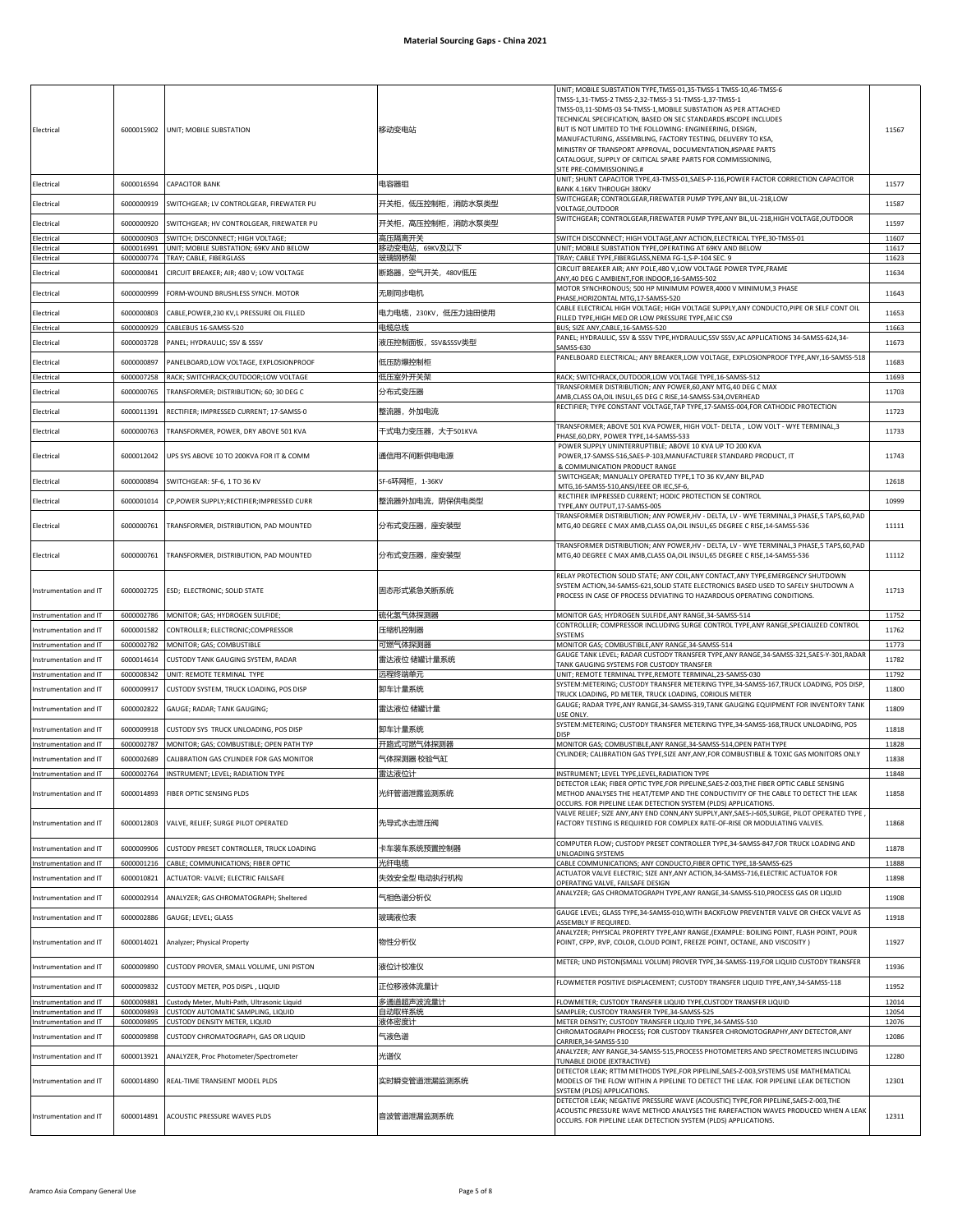| Electrical<br>Electrical<br>Electrical           | 6000016594<br>6000000919 | 6000015902 UNIT; MOBILE SUBSTATION<br><b>CAPACITOR BANK</b><br>SWITCHGEAR; LV CONTROLGEAR, FIREWATER PU | 移动变电站<br>电容器组<br>开关柜,低压控制柜,消防水泵类型 | UNIT; MOBILE SUBSTATION TYPE, TMSS-01, 35-TMSS-1 TMSS-10, 46-TMSS-6<br>TMSS-1,31-TMSS-2 TMSS-2,32-TMSS-3 51-TMSS-1,37-TMSS-1<br>TMSS-03,11-SDMS-03 54-TMSS-1, MOBILE SUBSTATION AS PER ATTACHED<br>TECHNICAL SPECIFICATION, BASED ON SEC STANDARDS.#SCOPE INCLUDES<br>BUT IS NOT LIMITED TO THE FOLLOWING: ENGINEERING, DESIGN,<br>MANUFACTURING, ASSEMBLING, FACTORY TESTING, DELIVERY TO KSA,<br>MINISTRY OF TRANSPORT APPROVAL, DOCUMENTATION,#SPARE PARTS<br>CATALOGUE, SUPPLY OF CRITICAL SPARE PARTS FOR COMMISSIONING,<br>SITE PRE-COMMISSIONING.#<br>UNIT; SHUNT CAPACITOR TYPE,43-TMSS-01,SAES-P-116,POWER FACTOR CORRECTION CAPACITOR<br>BANK 4.16KV THROUGH 380KV<br>SWITCHGEAR; CONTROLGEAR, FIREWATER PUMP TYPE, ANY BIL, UL-218, LOW<br><b>VOLTAGE.OUTDOOR</b> | 11567<br>11577<br>11587 |
|--------------------------------------------------|--------------------------|---------------------------------------------------------------------------------------------------------|-----------------------------------|------------------------------------------------------------------------------------------------------------------------------------------------------------------------------------------------------------------------------------------------------------------------------------------------------------------------------------------------------------------------------------------------------------------------------------------------------------------------------------------------------------------------------------------------------------------------------------------------------------------------------------------------------------------------------------------------------------------------------------------------------------------------------|-------------------------|
| Electrical                                       | 6000000920               | SWITCHGEAR; HV CONTROLGEAR, FIREWATER PU                                                                | 开关柜,高压控制柜,消防水泵类型                  | SWITCHGEAR; CONTROLGEAR, FIREWATER PUMP TYPE, ANY BIL, UL-218, HIGH VOLTAGE, OUTDOOR                                                                                                                                                                                                                                                                                                                                                                                                                                                                                                                                                                                                                                                                                         | 11597                   |
| Electrical                                       | 6000000903<br>6000016991 | SWITCH; DISCONNECT; HIGH VOLTAGE;<br>UNIT; MOBILE SUBSTATION; 69KV AND BELOW                            | 高压隔离开关<br>移动变电站,69KV及以下           | SWITCH DISCONNECT; HIGH VOLTAGE, ANY ACTION, ELECTRICAL TYPE, 30-TMSS-01<br>UNIT; MOBILE SUBSTATION TYPE, OPERATING AT 69KV AND BELOW                                                                                                                                                                                                                                                                                                                                                                                                                                                                                                                                                                                                                                        | 11607                   |
| Electrical<br>Electrical                         | 6000000774               | TRAY; CABLE, FIBERGLASS                                                                                 | 玻璃钢桥架                             | TRAY; CABLE TYPE, FIBERGLASS, NEMA FG-1, S-P-104 SEC. 9                                                                                                                                                                                                                                                                                                                                                                                                                                                                                                                                                                                                                                                                                                                      | 11617<br>11623          |
| Electrical                                       | 6000000841               | CIRCUIT BREAKER; AIR; 480 V; LOW VOLTAGE                                                                | 断路器,空气开关,480V低压                   | CIRCUIT BREAKER AIR; ANY POLE, 480 V, LOW VOLTAGE POWER TYPE, FRAME<br>ANY, 40 DEG C AMBIENT, FOR INDOOR, 16-SAMSS-502                                                                                                                                                                                                                                                                                                                                                                                                                                                                                                                                                                                                                                                       | 11634                   |
| Electrical                                       | 6000000999               | FORM-WOUND BRUSHLESS SYNCH. MOTOR                                                                       | 无刷同步电机                            | MOTOR SYNCHRONOUS; 500 HP MINIMUM POWER,4000 V MINIMUM,3 PHASE<br>PHASE, HORIZONTAL MTG, 17-SAMSS-520                                                                                                                                                                                                                                                                                                                                                                                                                                                                                                                                                                                                                                                                        | 11643                   |
| Electrical                                       | 6000000803               | CABLE,POWER,230 KV,L PRESSURE OIL FILLED                                                                | 电力电缆, 230KV, 低压力油田使用              | CABLE ELECTRICAL HIGH VOLTAGE; HIGH VOLTAGE SUPPLY, ANY CONDUCTO, PIPE OR SELF CONT OIL<br>ILLED TYPE, HIGH MED OR LOW PRESSURE TYPE, AEIC CS9                                                                                                                                                                                                                                                                                                                                                                                                                                                                                                                                                                                                                               | 11653                   |
| Electrical                                       | 6000000929               | CABLEBUS 16-SAMSS-520                                                                                   | 电缆总线                              | BUS; SIZE ANY, CABLE, 16-SAMSS-520<br>PANEL; HYDRAULIC, SSV & SSSV TYPE,HYDRAULIC,SSV SSSV,AC APPLICATIONS 34-SAMSS-624,34-                                                                                                                                                                                                                                                                                                                                                                                                                                                                                                                                                                                                                                                  | 11663                   |
| Electrical                                       | 6000003728               | PANEL; HYDRAULIC; SSV & SSSV                                                                            | 液压控制面板,SSV&SSSV类型                 | SAMSS-630<br>PANELBOARD ELECTRICAL; ANY BREAKER, LOW VOLTAGE, EXPLOSIONPROOF TYPE, ANY, 16-SAMSS-518                                                                                                                                                                                                                                                                                                                                                                                                                                                                                                                                                                                                                                                                         | 11673                   |
| Electrical<br>Electrical                         | 6000000897<br>6000007258 | PANELBOARD, LOW VOLTAGE, EXPLOSIONPROOF<br>RACK; SWITCHRACK;OUTDOOR;LOW VOLTAGE                         | 低压防爆控制柜<br>低压室外开关架                | RACK; SWITCHRACK,OUTDOOR,LOW VOLTAGE TYPE,16-SAMSS-512                                                                                                                                                                                                                                                                                                                                                                                                                                                                                                                                                                                                                                                                                                                       | 11683<br>11693          |
| Electrical                                       | 6000000765               | TRANSFORMER; DISTRIBUTION; 60; 30 DEG C                                                                 | 分布式变压器                            | TRANSFORMER DISTRIBUTION; ANY POWER,60,ANY MTG,40 DEG C MAX                                                                                                                                                                                                                                                                                                                                                                                                                                                                                                                                                                                                                                                                                                                  | 11703                   |
| Electrical                                       | 6000011391               | RECTIFIER; IMPRESSED CURRENT; 17-SAMSS-0                                                                | 整流器, 外加电流                         | AMB,CLASS OA,OIL INSUL,65 DEG C RISE,14-SAMSS-534,OVERHEAD<br>RECTIFIER; TYPE CONSTANT VOLTAGE, TAP TYPE, 17-SAMSS-004, FOR CATHODIC PROTECTION                                                                                                                                                                                                                                                                                                                                                                                                                                                                                                                                                                                                                              | 11723                   |
| Electrical                                       | 6000000763               | TRANSFORMER, POWER, DRY ABOVE 501 KVA                                                                   | 干式电力变压器,大于501KVA                  | TRANSFORMER; ABOVE 501 KVA POWER, HIGH VOLT- DELTA ,  LOW VOLT - WYE TERMINAL,3                                                                                                                                                                                                                                                                                                                                                                                                                                                                                                                                                                                                                                                                                              | 11733                   |
|                                                  |                          |                                                                                                         |                                   | PHASE,60,DRY, POWER TYPE,14-SAMSS-533<br>POWER SUPPLY UNINTERRUPTIBLE; ABOVE 10 KVA UP TO 200 KVA                                                                                                                                                                                                                                                                                                                                                                                                                                                                                                                                                                                                                                                                            |                         |
| Electrical                                       | 6000012042               | UPS SYS ABOVE 10 TO 200KVA FOR IT & COMM                                                                | 通信用不间断供电电源                        | POWER, 17-SAMSS-516, SAES-P-103, MANUFACTURER STANDARD PRODUCT, IT<br>& COMMUNICATION PRODUCT RANGE                                                                                                                                                                                                                                                                                                                                                                                                                                                                                                                                                                                                                                                                          | 11743                   |
| Electrical                                       | 6000000894               | SWITCHGEAR: SF-6, 1 TO 36 KV                                                                            | SF-6环网柜,1-36KV                    | SWITCHGEAR; MANUALLY OPERATED TYPE,1 TO 36 KV, ANY BIL, PAD<br>MTG, 16-SAMSS-510, ANSI/IEEE OR IEC, SF-6,                                                                                                                                                                                                                                                                                                                                                                                                                                                                                                                                                                                                                                                                    | 12618                   |
| Electrical                                       | 6000001014               | CP, POWER SUPPLY; RECTIFIER; IMPRESSED CURR                                                             | 整流器外加电流,阴保供电类型                    | RECTIFIER IMPRESSED CURRENT; HODIC PROTECTION SE CONTROL<br>TYPE, ANY OUTPUT, 17-SAMSS-005                                                                                                                                                                                                                                                                                                                                                                                                                                                                                                                                                                                                                                                                                   | 10999                   |
| Electrical                                       | 6000000761               | TRANSFORMER, DISTRIBUTION, PAD MOUNTED                                                                  | 分布式变压器,座安装型                       | TRANSFORMER DISTRIBUTION; ANY POWER, HV - DELTA, LV - WYE TERMINAL, 3 PHASE, 5 TAPS, 60, PAD<br>MTG,40 DEGREE C MAX AMB,CLASS OA,OIL INSUL,65 DEGREE C RISE,14-SAMSS-536                                                                                                                                                                                                                                                                                                                                                                                                                                                                                                                                                                                                     | 11111                   |
| Electrical                                       | 6000000761               | TRANSFORMER, DISTRIBUTION, PAD MOUNTED                                                                  | 分布式变压器,座安装型                       | TRANSFORMER DISTRIBUTION; ANY POWER,HV - DELTA, LV - WYE TERMINAL,3 PHASE,5 TAPS,60,PAD<br>MTG,40 DEGREE C MAX AMB,CLASS OA, OIL INSUL, 65 DEGREE C RISE, 14-SAMSS-536                                                                                                                                                                                                                                                                                                                                                                                                                                                                                                                                                                                                       | 11112                   |
| Instrumentation and IT                           |                          | 6000002725 ESD; ELECTRONIC; SOLID STATE                                                                 | 固态形式紧急关断系统                        | RELAY PROTECTION SOLID STATE; ANY COIL, ANY CONTACT, ANY TYPE, EMERGENCY SHUTDOWN<br>SYSTEM ACTION, 34-SAMSS-621, SOLID STATE ELECTRONICS BASED USED TO SAFELY SHUTDOWN A<br>PROCESS IN CASE OF PROCESS DEVIATING TO HAZARDOUS OPERATING CONDITIONS.                                                                                                                                                                                                                                                                                                                                                                                                                                                                                                                         | 11713                   |
| nstrumentation and IT                            | 6000002786               | MONITOR; GAS; HYDROGEN SULFIDE                                                                          | 硫化氢气体探测器                          | MONITOR GAS; HYDROGEN SULFIDE, ANY RANGE, 34-SAMSS-514<br>CONTROLLER; COMPRESSOR INCLUDING SURGE CONTROL TYPE, ANY RANGE, SPECIALIZED CONTROL                                                                                                                                                                                                                                                                                                                                                                                                                                                                                                                                                                                                                                | 11752                   |
| nstrumentation and IT<br>Instrumentation and IT  | 6000001582<br>6000002782 | CONTROLLER; ELECTRONIC;COMPRESSOR<br>MONITOR; GAS; COMBUSTIBLE                                          | 压缩机控制器<br>可燃气体探测器                 | <b>SYSTEMS</b><br>MONITOR GAS; COMBUSTIBLE, ANY RANGE, 34-SAMSS-514                                                                                                                                                                                                                                                                                                                                                                                                                                                                                                                                                                                                                                                                                                          | 11762<br>11773          |
| nstrumentation and IT                            | 6000014614               | CUSTODY TANK GAUGING SYSTEM, RADAR                                                                      | 雷达液位 储罐计量系统                       | GAUGE TANK LEVEL; RADAR CUSTODY TRANSFER TYPE, ANY RANGE, 34-SAMSS-321, SAES-Y-301, RADAR                                                                                                                                                                                                                                                                                                                                                                                                                                                                                                                                                                                                                                                                                    | 11782                   |
| Instrumentation and IT                           | 6000008342               | UNIT: REMOTE TERMINAL TYPE                                                                              | 远程终端单元                            | TANK GAUGING SYSTEMS FOR CUSTODY TRANSFER<br>UNIT; REMOTE TERMINAL TYPE, REMOTE TERMINAL, 23-SAMSS-030                                                                                                                                                                                                                                                                                                                                                                                                                                                                                                                                                                                                                                                                       | 11792                   |
| Instrumentation and IT                           | 6000009917               | CUSTODY SYSTEM, TRUCK LOADING, POS DISP                                                                 | 卸车计量系统                            | SYSTEM:METERING; CUSTODY TRANSFER METERING TYPE,34-SAMSS-167,TRUCK LOADING, POS DISP<br>FRUCK LOADING, PD METER, TRUCK LOADING, CORIOLIS METER                                                                                                                                                                                                                                                                                                                                                                                                                                                                                                                                                                                                                               | 11800                   |
| Instrumentation and IT                           | 6000002822               | GAUGE; RADAR; TANK GAUGING;                                                                             | 雷达液位 储罐计量                         | GAUGE; RADAR TYPE, ANY RANGE, 34-SAMSS-319, TANK GAUGING EQUIPMENT FOR INVENTORY TANK<br>USE ONLY                                                                                                                                                                                                                                                                                                                                                                                                                                                                                                                                                                                                                                                                            | 11809                   |
| Instrumentation and IT                           | 6000009918               | CUSTODY SYS TRUCK UNLOADING, POS DISP                                                                   | 卸车计量系统                            | SYSTEM:METERING; CUSTODY TRANSFER METERING TYPE, 34-SAMSS-168, TRUCK UNLOADING, POS<br>DISP                                                                                                                                                                                                                                                                                                                                                                                                                                                                                                                                                                                                                                                                                  | 11818                   |
| Instrumentation and IT                           |                          | 6000002787 MONITOR; GAS; COMBUSTIBLE; OPEN PATH TYP                                                     | 开路式可燃气体探测器                        | MONITOR GAS; COMBUSTIBLE, ANY RANGE, 34-SAMSS-514, OPEN PATH TYPE<br>CYLINDER; CALIBRATION GAS TYPE, SIZE ANY, ANY, FOR COMBUSTIBLE & TOXIC GAS MONITORS ONLY                                                                                                                                                                                                                                                                                                                                                                                                                                                                                                                                                                                                                | 11828                   |
| Instrumentation and IT                           | 6000002689               | CALIBRATION GAS CYLINDER FOR GAS MONITOR                                                                | 气体探测器 校验气缸                        |                                                                                                                                                                                                                                                                                                                                                                                                                                                                                                                                                                                                                                                                                                                                                                              | 11838                   |
| Instrumentation and IT                           | 6000002764               | INSTRUMENT; LEVEL; RADIATION TYPE                                                                       | 雷达液位计                             | INSTRUMENT; LEVEL TYPE, LEVEL, RADIATION TYPE<br>ETECTOR LEAK; FIBER OPTIC TYPE,FOR PIPELINE,SAES-Z-003,THE FIBER OPTIC CABLE SENSING                                                                                                                                                                                                                                                                                                                                                                                                                                                                                                                                                                                                                                        | 11848                   |
| Instrumentation and IT                           | 6000014893               | FIBER OPTIC SENSING PLDS                                                                                | 光纤管道泄露监测系统                        | METHOD ANALYSES THE HEAT/TEMP AND THE CONDUCTIVITY OF THE CABLE TO DETECT THE LEAK<br>OCCURS. FOR PIPELINE LEAK DETECTION SYSTEM (PLDS) APPLICATIONS.<br>VALVE RELIEF; SIZE ANY,ANY END CONN,ANY SUPPLY,ANY,SAES-J-605,SURGE, PILOT OPERATED TYPE                                                                                                                                                                                                                                                                                                                                                                                                                                                                                                                            | 11858                   |
| Instrumentation and IT                           | 6000012803               | VALVE, RELIEF; SURGE PILOT OPERATED<br>CUSTODY PRESET CONTROLLER, TRUCK LOADING                         | 先导式水击泄压阀                          | FACTORY TESTING IS REQUIRED FOR COMPLEX RATE-OF-RISE OR MODULATING VALVES.<br>COMPUTER FLOW: CUSTODY PRESET CONTROLLER TYPE.34-SAMSS-847.FOR TRUCK LOADING AND                                                                                                                                                                                                                                                                                                                                                                                                                                                                                                                                                                                                               | 11868                   |
| Instrumentation and IT<br>Instrumentation and IT | 6000009906<br>6000001216 | CABLE; COMMUNICATIONS; FIBER OPTIC                                                                      | 卡车装车系统预置控制器<br>光纤电缆               | <b>JNLOADING SYSTEMS</b><br>CABLE COMMUNICATIONS; ANY CONDUCTO, FIBER OPTIC TYPE, 18-SAMSS-625                                                                                                                                                                                                                                                                                                                                                                                                                                                                                                                                                                                                                                                                               | 11878<br>11888          |
| Instrumentation and IT                           | 6000010821               | ACTUATOR: VALVE; ELECTRIC FAILSAFE                                                                      | 失效安全型 电动执行机构                      | ACTUATOR VALVE ELECTRIC; SIZE ANY,ANY ACTION,34-SAMSS-716,ELECTRIC ACTUATOR FOR<br>OPERATING VALVE, FAILSAFE DESIGN                                                                                                                                                                                                                                                                                                                                                                                                                                                                                                                                                                                                                                                          | 11898                   |
| Instrumentation and IT                           | 6000002914               | ANALYZER; GAS CHROMATOGRAPH; Sheltered                                                                  | 气相色谱分析仪                           | ANALYZER; GAS CHROMATOGRAPH TYPE, ANY RANGE, 34-SAMSS-510, PROCESS GAS OR LIQUID                                                                                                                                                                                                                                                                                                                                                                                                                                                                                                                                                                                                                                                                                             | 11908                   |
| Instrumentation and IT                           | 6000002886               | GAUGE; LEVEL; GLASS                                                                                     | 玻璃液位表                             | GAUGE LEVEL; GLASS TYPE, 34-SAMSS-010, WITH BACKFLOW PREVENTER VALVE OR CHECK VALVE AS<br>ASSEMBLY IF REQUIRED.                                                                                                                                                                                                                                                                                                                                                                                                                                                                                                                                                                                                                                                              | 11918                   |
| nstrumentation and IT                            | 6000014021               | Analyzer; Physical Property                                                                             | 物性分析仪                             | ANALYZER; PHYSICAL PROPERTY TYPE, ANY RANGE, (EXAMPLE: BOILING POINT, FLASH POINT, POUR<br>POINT, CFPP, RVP, COLOR, CLOUD POINT, FREEZE POINT, OCTANE, AND VISCOSITY )                                                                                                                                                                                                                                                                                                                                                                                                                                                                                                                                                                                                       | 11927                   |
| Instrumentation and IT                           | 6000009890               | CUSTODY PROVER, SMALL VOLUME, UNI PISTON                                                                | 液位计校准仪                            | METER; UND PISTON(SMALL VOLUM) PROVER TYPE, 34-SAMSS-119, FOR LIQUID CUSTODY TRANSFER                                                                                                                                                                                                                                                                                                                                                                                                                                                                                                                                                                                                                                                                                        | 11936                   |
| Instrumentation and IT                           | 6000009832               | CUSTODY METER, POS DISPL, LIQUID                                                                        | 正位移液体流量计                          | FLOWMETER POSITIVE DISPLACEMENT; CUSTODY TRANSFER LIQUID TYPE, ANY, 34-SAMSS-118                                                                                                                                                                                                                                                                                                                                                                                                                                                                                                                                                                                                                                                                                             | 11952                   |
| Instrumentation and IT                           | 6000009881               | Custody Meter, Multi-Path, Ultrasonic Liquid                                                            | 多通道超声波流量计                         | FLOWMETER; CUSTODY TRANSFER LIQUID TYPE, CUSTODY TRANSFER LIQUID                                                                                                                                                                                                                                                                                                                                                                                                                                                                                                                                                                                                                                                                                                             | 12014                   |
| nstrumentation and IT<br>Instrumentation and IT  | 6000009893<br>6000009895 | CUSTODY AUTOMATIC SAMPLING, LIQUID<br>CUSTODY DENSITY METER, LIQUID                                     | 自动取样系统<br>夜体密度计                   | SAMPLER; CUSTODY TRANSFER TYPE,34-SAMSS-525<br>METER DENSITY; CUSTODY TRANSFER LIQUID TYPE,34-SAMSS-510                                                                                                                                                                                                                                                                                                                                                                                                                                                                                                                                                                                                                                                                      | 12054<br>12076          |
| Instrumentation and IT                           | 6000009898               | CUSTODY CHROMATOGRAPH, GAS OR LIQUID                                                                    | 气液色谱                              | CHROMATOGRAPH PROCESS; FOR CUSTODY TRANSFER CHROMOTOGRAPHY, ANY DETECTOR, ANY<br>CARRIER, 34-SAMSS-510                                                                                                                                                                                                                                                                                                                                                                                                                                                                                                                                                                                                                                                                       | 12086                   |
| Instrumentation and IT                           | 6000013921               | ANALYZER, Proc Photometer/Spectrometer                                                                  | 光谱仪                               | ANALYZER; ANY RANGE, 34-SAMSS-515, PROCESS PHOTOMETERS AND SPECTROMETERS INCLUDING<br>TUNABLE DIODE (EXTRACTIVE)                                                                                                                                                                                                                                                                                                                                                                                                                                                                                                                                                                                                                                                             | 12280                   |
| Instrumentation and IT                           | 6000014890               | REAL-TIME TRANSIENT MODEL PLDS                                                                          | 实时瞬变管道泄漏监测系统                      | DETECTOR LEAK; RTTM METHODS TYPE,FOR PIPELINE, SAES-Z-003, SYSTEMS USE MATHEMATICAL<br>MODELS OF THE FLOW WITHIN A PIPELINE TO DETECT THE LEAK. FOR PIPELINE LEAK DETECTION<br>SYSTEM (PLDS) APPLICATIONS.                                                                                                                                                                                                                                                                                                                                                                                                                                                                                                                                                                   | 12301                   |
| Instrumentation and IT                           | 6000014891               | ACOUSTIC PRESSURE WAVES PLDS                                                                            | 音波管道泄漏监测系统                        | DETECTOR LEAK; NEGATIVE PRESSURE WAVE (ACOUSTIC) TYPE, FOR PIPELINE, SAES-Z-003, THE<br>ACOUSTIC PRESSURE WAVE METHOD ANALYSES THE RAREFACTION WAVES PRODUCED WHEN A LEAK<br>OCCURS. FOR PIPELINE LEAK DETECTION SYSTEM (PLDS) APPLICATIONS.                                                                                                                                                                                                                                                                                                                                                                                                                                                                                                                                 | 12311                   |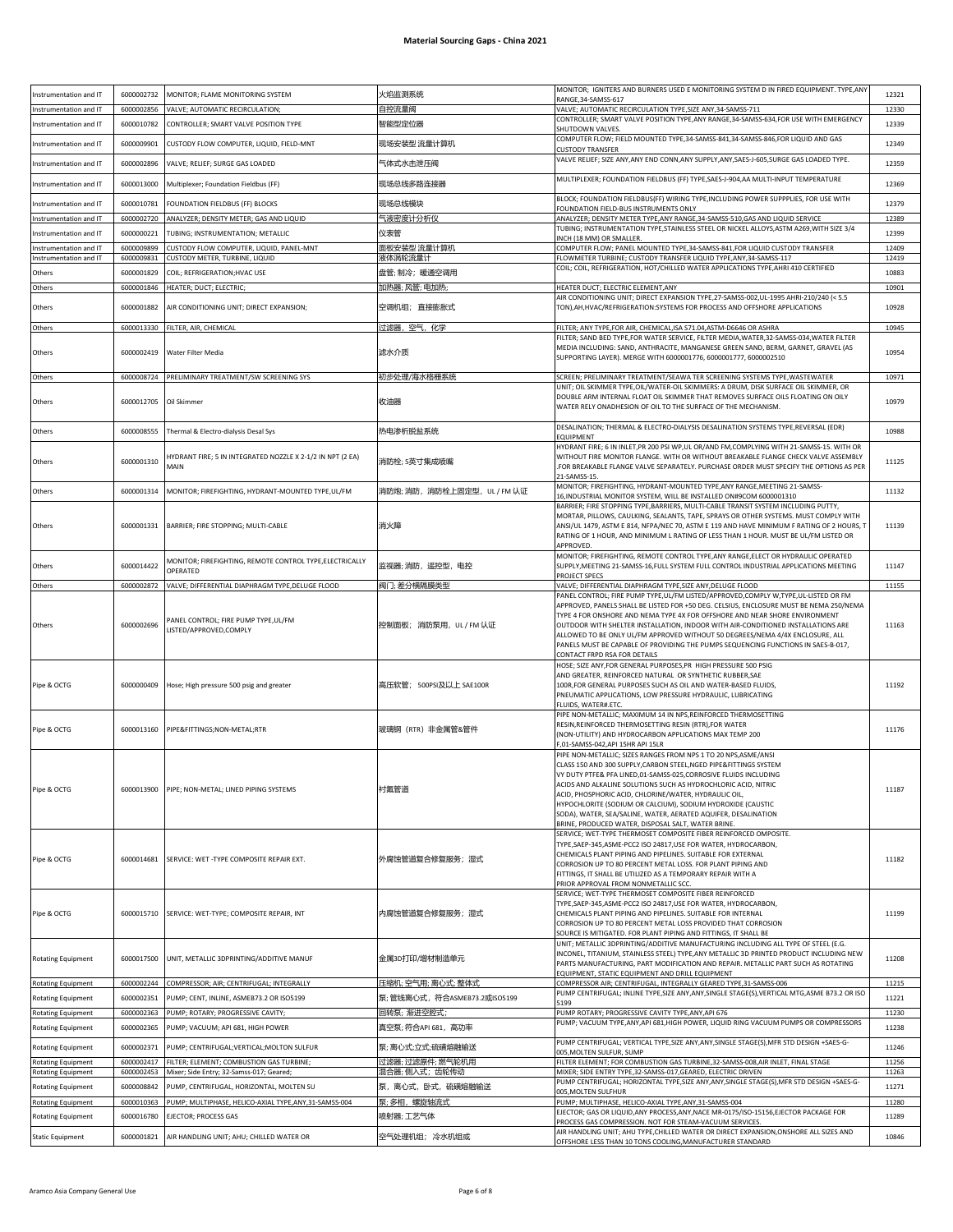| Instrumentation and IT    | 6000002732               | MONITOR; FLAME MONITORING SYSTEM                                                                                   | 火焰监测系统                              | MONITOR; IGNITERS AND BURNERS USED E MONITORING SYSTEM D IN FIRED EQUIPMENT. TYPE, ANY<br>RANGE, 34-SAMSS-617                                                                                                                                                                                                                                                                                                                                                                                                                                                                                                      | 12321          |
|---------------------------|--------------------------|--------------------------------------------------------------------------------------------------------------------|-------------------------------------|--------------------------------------------------------------------------------------------------------------------------------------------------------------------------------------------------------------------------------------------------------------------------------------------------------------------------------------------------------------------------------------------------------------------------------------------------------------------------------------------------------------------------------------------------------------------------------------------------------------------|----------------|
| Instrumentation and IT    | 6000002856               | VALVE; AUTOMATIC RECIRCULATION;                                                                                    | 自控流量阀                               | VALVE; AUTOMATIC RECIRCULATION TYPE, SIZE ANY, 34-SAMSS-711                                                                                                                                                                                                                                                                                                                                                                                                                                                                                                                                                        | 12330          |
| Instrumentation and IT    | 6000010782               | CONTROLLER; SMART VALVE POSITION TYPE                                                                              | 智能型定位器                              | CONTROLLER; SMART VALVE POSITION TYPE, ANY RANGE, 34-SAMSS-634, FOR USE WITH EMERGENCY                                                                                                                                                                                                                                                                                                                                                                                                                                                                                                                             | 12339          |
|                           |                          |                                                                                                                    |                                     | SHUTDOWN VALVES<br>COMPUTER FLOW; FIELD MOUNTED TYPE,34-SAMSS-841,34-SAMSS-846,FOR LIQUID AND GAS                                                                                                                                                                                                                                                                                                                                                                                                                                                                                                                  |                |
| Instrumentation and IT    | 6000009901               | CUSTODY FLOW COMPUTER, LIQUID, FIELD-MNT                                                                           | 现场安装型 流量计算机                         | <b>CUSTODY TRANSFER</b>                                                                                                                                                                                                                                                                                                                                                                                                                                                                                                                                                                                            | 12349          |
| Instrumentation and IT    | 6000002896               | VALVE; RELIEF; SURGE GAS LOADED                                                                                    | 气体式水击泄压阀                            | VALVE RELIEF; SIZE ANY, ANY END CONN, ANY SUPPLY, ANY, SAES-J-605, SURGE GAS LOADED TYPE.                                                                                                                                                                                                                                                                                                                                                                                                                                                                                                                          | 12359          |
| Instrumentation and IT    | 6000013000               | Multiplexer; Foundation Fieldbus (FF)                                                                              | 现场总线多路连接器                           | MULTIPLEXER; FOUNDATION FIELDBUS (FF) TYPE, SAES-J-904, AA MULTI-INPUT TEMPERATURE                                                                                                                                                                                                                                                                                                                                                                                                                                                                                                                                 | 12369          |
| Instrumentation and IT    | 6000010781               | FOUNDATION FIELDBUS (FF) BLOCKS                                                                                    | 现场总线模块                              | BLOCK; FOUNDATION FIELDBUS(FF) WIRING TYPE,INCLUDING POWER SUPPPLIES, FOR USE WITH<br>FOUNDATION FIELD-BUS INSTRUMENTS ONLY                                                                                                                                                                                                                                                                                                                                                                                                                                                                                        | 12379          |
| nstrumentation and IT     | 6000002720               | ANALYZER; DENSITY METER; GAS AND LIQUID                                                                            | 气液密度计分析仪                            | ANALYZER; DENSITY METER TYPE, ANY RANGE, 34-SAMSS-510, GAS AND LIQUID SERVICE                                                                                                                                                                                                                                                                                                                                                                                                                                                                                                                                      | 12389          |
| nstrumentation and IT     | 6000000221               | TUBING; INSTRUMENTATION; METALLIC                                                                                  | 仪表管                                 | TUBING; INSTRUMENTATION TYPE,STAINLESS STEEL OR NICKEL ALLOYS,ASTM A269,WITH SIZE 3/4<br>INCH (18 MM) OR SMALLER.                                                                                                                                                                                                                                                                                                                                                                                                                                                                                                  | 12399          |
| Instrumentation and IT    | 6000009899               | CUSTODY FLOW COMPUTER, LIQUID, PANEL-MNT                                                                           | 面板安装型 流量计算机                         | COMPUTER FLOW; PANEL MOUNTED TYPE,34-SAMSS-841,FOR LIQUID CUSTODY TRANSFER                                                                                                                                                                                                                                                                                                                                                                                                                                                                                                                                         | 12409          |
| Instrumentation and IT    | 6000009831               | CUSTODY METER, TURBINE, LIQUID                                                                                     | 夜体涡轮流量计                             | FLOWMETER TURBINE; CUSTODY TRANSFER LIQUID TYPE, ANY, 34-SAMSS-117<br>COIL; COIL, REFRIGERATION, HOT/CHILLED WATER APPLICATIONS TYPE, AHRI 410 CERTIFIED                                                                                                                                                                                                                                                                                                                                                                                                                                                           | 12419          |
| Others                    | 6000001829               | COIL; REFRIGERATION; HVAC USE                                                                                      | 盘管; 制冷;暖通空调用                        |                                                                                                                                                                                                                                                                                                                                                                                                                                                                                                                                                                                                                    | 10883          |
| Others                    | 6000001846               | HEATER; DUCT; ELECTRIC;                                                                                            | 加热器;风管;电加热;                         | HEATER DUCT; ELECTRIC ELEMENT, ANY<br>AIR CONDITIONING UNIT; DIRECT EXPANSION TYPE,27-SAMSS-002,UL-1995 AHRI-210/240 (< 5.5                                                                                                                                                                                                                                                                                                                                                                                                                                                                                        | 10901          |
| Others                    | 6000001882               | AIR CONDITIONING UNIT; DIRECT EXPANSION;                                                                           | 空调机组; 直接膨胀式                         | TON), AH, HVAC/REFRIGERATION: SYSTEMS FOR PROCESS AND OFFSHORE APPLICATIONS                                                                                                                                                                                                                                                                                                                                                                                                                                                                                                                                        | 10928          |
| Others                    | 6000013330               | FILTER, AIR, CHEMICAL                                                                                              | 过滤器,空气,化学                           | FILTER; ANY TYPE, FOR AIR, CHEMICAL, ISA S71.04, ASTM-D6646 OR ASHRA                                                                                                                                                                                                                                                                                                                                                                                                                                                                                                                                               | 10945          |
| Others                    | 6000002419               | Water Filter Media                                                                                                 | 滤水介质                                | FILTER; SAND BED TYPE,FOR WATER SERVICE, FILTER MEDIA,WATER,32-SAMSS-034,WATER FILTER<br>MEDIA INCLUDING: SAND, ANTHRACITE, MANGANESE GREEN SAND, BERM, GARNET, GRAVEL (AS<br>SUPPORTING LAYER). MERGE WITH 6000001776, 6000001777, 6000002510                                                                                                                                                                                                                                                                                                                                                                     | 10954          |
|                           |                          |                                                                                                                    |                                     |                                                                                                                                                                                                                                                                                                                                                                                                                                                                                                                                                                                                                    |                |
| Others                    | 6000008724               | PRELIMINARY TREATMENT/SW SCREENING SYS                                                                             | 初步处理/海水格栅系统                         | SCREEN; PRELIMINARY TREATMENT/SEAWA TER SCREENING SYSTEMS TYPE, WASTEWATER<br>UNIT; OIL SKIMMER TYPE,OIL/WATER-OIL SKIMMERS: A DRUM, DISK SURFACE OIL SKIMMER, OR                                                                                                                                                                                                                                                                                                                                                                                                                                                  | 10971          |
| Others                    | 6000012705               | Oil Skimmer                                                                                                        | 收油器                                 | DOUBLE ARM INTERNAL FLOAT OIL SKIMMER THAT REMOVES SURFACE OILS FLOATING ON OILY<br>WATER RELY ONADHESION OF OIL TO THE SURFACE OF THE MECHANISM.                                                                                                                                                                                                                                                                                                                                                                                                                                                                  | 10979          |
| Others                    | 6000008555               | Thermal & Electro-dialysis Desal Sys                                                                               | 热电渗析脱盐系统                            | DESALINATION; THERMAL & ELECTRO-DIALYSIS DESALINATION SYSTEMS TYPE, REVERSAL (EDR)                                                                                                                                                                                                                                                                                                                                                                                                                                                                                                                                 | 10988          |
|                           |                          |                                                                                                                    |                                     | EQUIPMENT<br>HYDRANT FIRE; 6 IN INLET, PR 200 PSI WP, UL OR/AND FM, COMPLYING WITH 21-SAMSS-15. WITH OR                                                                                                                                                                                                                                                                                                                                                                                                                                                                                                            |                |
| Others                    | 6000001310               | HYDRANT FIRE; 5 IN INTEGRATED NOZZLE X 2-1/2 IN NPT (2 EA)<br>MAIN                                                 | 消防栓; 5英寸集成喷嘴                        | WITHOUT FIRE MONITOR FLANGE. WITH OR WITHOUT BREAKABLE FLANGE CHECK VALVE ASSEMBLY<br>FOR BREAKABLE FLANGE VALVE SEPARATELY. PURCHASE ORDER MUST SPECIFY THE OPTIONS AS PER<br>21-SAMSS-15.                                                                                                                                                                                                                                                                                                                                                                                                                        | 11125          |
| Others                    | 6000001314               | MONITOR; FIREFIGHTING, HYDRANT-MOUNTED TYPE,UL/FM                                                                  | 消防炮; 消防,消防栓上固定型,UL / FM 认证          | MONITOR; FIREFIGHTING, HYDRANT-MOUNTED TYPE, ANY RANGE, MEETING 21-SAMSS-                                                                                                                                                                                                                                                                                                                                                                                                                                                                                                                                          | 11132          |
| Others                    | 6000001331               | BARRIER; FIRE STOPPING; MULTI-CABLE                                                                                | 消火障                                 | 16, INDUSTRIAL MONITOR SYSTEM, WILL BE INSTALLED ON#9COM 6000001310<br>BARRIER; FIRE STOPPING TYPE, BARRIERS, MULTI-CABLE TRANSIT SYSTEM INCLUDING PUTTY,<br>MORTAR, PILLOWS, CAULKING, SEALANTS, TAPE, SPRAYS OR OTHER SYSTEMS. MUST COMPLY WITH<br>ANSI/UL 1479, ASTM E 814, NFPA/NEC 70, ASTM E 119 AND HAVE MINIMUM F RATING OF 2 HOURS, T<br>RATING OF 1 HOUR, AND MINIMUM L RATING OF LESS THAN 1 HOUR. MUST BE UL/FM LISTED OR                                                                                                                                                                              | 11139          |
| Others                    | 6000014422               | MONITOR; FIREFIGHTING, REMOTE CONTROL TYPE, ELECTRICALLY                                                           | 监视器; 消防,遥控型,电控                      | <b>APPROVED</b><br>MONITOR; FIREFIGHTING, REMOTE CONTROL TYPE, ANY RANGE, ELECT OR HYDRAULIC OPERATED<br>SUPPLY, MEETING 21-SAMSS-16, FULL SYSTEM FULL CONTROL INDUSTRIAL APPLICATIONS MEETING                                                                                                                                                                                                                                                                                                                                                                                                                     | 11147          |
|                           |                          | OPERATED                                                                                                           |                                     | PROJECT SPECS                                                                                                                                                                                                                                                                                                                                                                                                                                                                                                                                                                                                      |                |
| Others<br>Others          | 6000002872<br>6000002696 | VALVE; DIFFERENTIAL DIAPHRAGM TYPE, DELUGE FLOOD<br>PANEL CONTROL; FIRE PUMP TYPE,UL/FM<br>LISTED/APPROVED, COMPLY | 阀门;差分横隔膜类型<br>控制面板; 消防泵用,UL / FM 认证 | VALVE; DIFFERENTIAL DIAPHRAGM TYPE, SIZE ANY, DELUGE FLOOD<br>PANEL CONTROL; FIRE PUMP TYPE,UL/FM LISTED/APPROVED,COMPLY W,TYPE,UL-LISTED OR FM<br>APPROVED, PANELS SHALL BE LISTED FOR +50 DEG. CELSIUS, ENCLOSURE MUST BE NEMA 250/NEMA<br>TYPE 4 FOR ONSHORE AND NEMA TYPE 4X FOR OFFSHORE AND NEAR SHORE ENVIRONMENT<br>OUTDOOR WITH SHELTER INSTALLATION, INDOOR WITH AIR-CONDITIONED INSTALLATIONS ARE<br>ALLOWED TO BE ONLY UL/FM APPROVED WITHOUT 50 DEGREES/NEMA 4/4X ENCLOSURE, ALL<br>PANELS MUST BE CAPABLE OF PROVIDING THE PUMPS SEQUENCING FUNCTIONS IN SAES-B-017,<br>CONTACT FRPD RSA FOR DETAILS | 11155<br>11163 |
| Pipe & OCTG               | 6000000409               | Hose; High pressure 500 psig and greater                                                                           | 高压软管; 500PSI及以上 SAE100R             | HOSE; SIZE ANY, FOR GENERAL PURPOSES, PR HIGH PRESSURE 500 PSIG<br>AND GREATER, REINFORCED NATURAL OR SYNTHETIC RUBBER, SAE<br>100R, FOR GENERAL PURPOSES SUCH AS OIL AND WATER-BASED FLUIDS,<br>PNEUMATIC APPLICATIONS, LOW PRESSURE HYDRAULIC, LUBRICATING<br>FLUIDS, WATER#.ETC.                                                                                                                                                                                                                                                                                                                                | 11192          |
| Pipe & OCTG               | 6000013160               | PIPE&FITTINGSNON-METAL;RTR                                                                                         | 玻璃钢 (RTR) 非金属管&管件                   | PIPE NON-METALLIC; MAXIMUM 14 IN NPS, REINFORCED THERMOSETTING<br>RESIN, REINFORCED THERMOSETTING RESIN (RTR), FOR WATER<br>(NON-UTILITY) AND HYDROCARBON APPLICATIONS MAX TEMP 200<br>F,01-SAMSS-042,API 15HR API 15LR                                                                                                                                                                                                                                                                                                                                                                                            | 11176          |
| Pipe & OCTG               |                          | 6000013900 PIPE; NON-METAL; LINED PIPING SYSTEMS                                                                   | 衬氟管道                                | PIPE NON-METALLIC; SIZES RANGES FROM NPS 1 TO 20 NPS, ASME/ANSI<br>CLASS 150 AND 300 SUPPLY, CARBON STEEL, NGED PIPE&FITTINGS SYSTEM<br>VY DUTY PTFE& PFA LINED, 01-SAMSS-025, CORROSIVE FLUIDS INCLUDING<br>ACIDS AND ALKALINE SOLUTIONS SUCH AS HYDROCHLORIC ACID, NITRIC<br>ACID, PHOSPHORIC ACID, CHLORINE/WATER, HYDRAULIC OIL,<br>HYPOCHLORITE (SODIUM OR CALCIUM), SODIUM HYDROXIDE (CAUSTIC<br>SODA), WATER, SEA/SALINE, WATER, AERATED AQUIFER, DESALINATION<br>BRINE, PRODUCED WATER, DISPOSAL SALT, WATER BRINE.                                                                                        | 11187          |
| Pipe & OCTG               | 6000014681               | SERVICE: WET -TYPE COMPOSITE REPAIR EXT.                                                                           | 外腐蚀管道复合修复服务;湿式                      | SERVICE; WET-TYPE THERMOSET COMPOSITE FIBER REINFORCED OMPOSITE.<br>TYPE, SAEP-345, ASME-PCC2 ISO 24817, USE FOR WATER, HYDROCARBON,<br>CHEMICALS PLANT PIPING AND PIPELINES. SUITABLE FOR EXTERNAL<br>CORROSION UP TO 80 PERCENT METAL LOSS. FOR PLANT PIPING AND<br>FITTINGS, IT SHALL BE UTILIZED AS A TEMPORARY REPAIR WITH A<br>PRIOR APPROVAL FROM NONMETALLIC SCC.                                                                                                                                                                                                                                          | 11182          |
| Pipe & OCTG               | 6000015710               | SERVICE: WET-TYPE; COMPOSITE REPAIR, INT                                                                           | 内腐蚀管道复合修复服务;湿式                      | SERVICE; WET-TYPE THERMOSET COMPOSITE FIBER REINFORCED<br>TYPE, SAEP-345, ASME-PCC2 ISO 24817, USE FOR WATER, HYDROCARBON,<br>CHEMICALS PLANT PIPING AND PIPELINES. SUITABLE FOR INTERNAL<br>CORROSION UP TO 80 PERCENT METAL LOSS PROVIDED THAT CORROSION<br>SOURCE IS MITIGATED. FOR PLANT PIPING AND FITTINGS, IT SHALL BE                                                                                                                                                                                                                                                                                      | 11199          |
| <b>Rotating Equipment</b> | 6000017500               | UNIT, METALLIC 3DPRINTING/ADDITIVE MANUF                                                                           | 金属3D打印/增材制造单元                       | UNIT; METALLIC 3DPRINTING/ADDITIVE MANUFACTURING INCLUDING ALL TYPE OF STEEL (E.G.<br>INCONEL, TITANIUM, STAINLESS STEEL) TYPE, ANY METALLIC 3D PRINTED PRODUCT INCLUDING NEW<br>PARTS MANUFACTURING, PART MODIFICATION AND REPAIR. METALLIC PART SUCH AS ROTATING<br>EQUIPMENT, STATIC EQUIPMENT AND DRILL EQUIPMENT                                                                                                                                                                                                                                                                                              | 11208          |
| <b>Rotating Equipment</b> | 6000002244               | COMPRESSOR; AIR; CENTRIFUGAL; INTEGRALLY                                                                           | 压缩机; 空气用; 离心式; 整体式                  | COMPRESSOR AIR; CENTRIFUGAL, INTEGRALLY GEARED TYPE,31-SAMSS-006<br>PUMP CENTRIFUGAL; INLINE TYPE, SIZE ANY, ANY, SINGLE STAGE(S), VERTICAL MTG, ASME B73.2 OR ISO                                                                                                                                                                                                                                                                                                                                                                                                                                                 | 11215          |
| <b>Rotating Equipment</b> | 6000002351               | PUMP; CENT, INLINE, ASMEB73.2 OR ISO5199                                                                           | 泵; 管线离心式, 符合ASMEB73.2或ISO5199       | 5199                                                                                                                                                                                                                                                                                                                                                                                                                                                                                                                                                                                                               | 11221          |
| Rotating Equipment        | 6000002363               | PUMP; ROTARY; PROGRESSIVE CAVITY;                                                                                  | 回转泵;渐进空腔式;                          | PUMP ROTARY; PROGRESSIVE CAVITY TYPE, ANY, API 676<br>PUMP; VACUUM TYPE, ANY, API 681, HIGH POWER, LIQUID RING VACUUM PUMPS OR COMPRESSORS                                                                                                                                                                                                                                                                                                                                                                                                                                                                         | 11230          |
| <b>Rotating Equipment</b> | 6000002365               | PUMP; VACUUM; API 681, HIGH POWER                                                                                  | 真空泵; 符合API 681,高功率                  |                                                                                                                                                                                                                                                                                                                                                                                                                                                                                                                                                                                                                    | 11238          |
| <b>Rotating Equipment</b> | 6000002371               | PUMP; CENTRIFUGAL; VERTICAL; MOLTON SULFUR                                                                         | 泵;离心式;立式;硫磺熔融输送                     | PUMP CENTRIFUGAL; VERTICAL TYPE, SIZE ANY, ANY, SINGLE STAGE(S), MFR STD DESIGN +SAES-G-<br>005, MOLTEN SULFUR, SUMP                                                                                                                                                                                                                                                                                                                                                                                                                                                                                               | 11246          |
| <b>Rotating Equipment</b> | 6000002417               | FILTER; ELEMENT; COMBUSTION GAS TURBINE;                                                                           | 过滤器; 过滤原件; 燃气轮机用                    | FILTER ELEMENT; FOR COMBUSTION GAS TURBINE, 32-SAMSS-008, AIR INLET, FINAL STAGE                                                                                                                                                                                                                                                                                                                                                                                                                                                                                                                                   | 11256          |
| <b>Rotating Equipment</b> | 6000002453               | Mixer; Side Entry; 32-Samss-017; Geared;                                                                           | 混合器;侧入式;齿轮传动                        | MIXER; SIDE ENTRY TYPE, 32-SAMSS-017, GEARED, ELECTRIC DRIVEN<br>PUMP CENTRIFUGAL; HORIZONTAL TYPE,SIZE ANY,ANY,SINGLE STAGE(S),MFR STD DESIGN +SAES-G-                                                                                                                                                                                                                                                                                                                                                                                                                                                            | 11263          |
| <b>Rotating Equipment</b> | 6000008842               | PUMP, CENTRIFUGAL, HORIZONTAL, MOLTEN SU                                                                           | 泵,离心式,卧式,硫磺熔融输送                     | 005.MOLTEN SULFHUR                                                                                                                                                                                                                                                                                                                                                                                                                                                                                                                                                                                                 | 11271          |
| <b>Rotating Equipment</b> | 6000010363               | PUMP; MULTIPHASE, HELICO-AXIAL TYPE, ANY, 31-SAMSS-004                                                             | 泵;多相,螺旋轴流式                          | PUMP; MULTIPHASE, HELICO-AXIAL TYPE, ANY, 31-SAMSS-004<br>EJECTOR; GAS OR LIQUID, ANY PROCESS, ANY, NACE MR-0175/ISO-15156, EJECTOR PACKAGE FOR                                                                                                                                                                                                                                                                                                                                                                                                                                                                    | 11280          |
| <b>Rotating Equipment</b> | 6000016780               | EJECTOR; PROCESS GAS                                                                                               | 喷射器; 工艺气体                           | PROCESS GAS COMPRESSION. NOT FOR STEAM-VACUUM SERVICES.                                                                                                                                                                                                                                                                                                                                                                                                                                                                                                                                                            | 11289          |
| <b>Static Equipment</b>   | 6000001821               | AIR HANDLING UNIT; AHU; CHILLED WATER OR                                                                           | 空气处理机组; 冷水机组或                       | AIR HANDLING UNIT; AHU TYPE, CHILLED WATER OR DIRECT EXPANSION, ONSHORE ALL SIZES AND<br>OFFSHORE LESS THAN 10 TONS COOLING, MANUFACTURER STANDARD                                                                                                                                                                                                                                                                                                                                                                                                                                                                 | 10846          |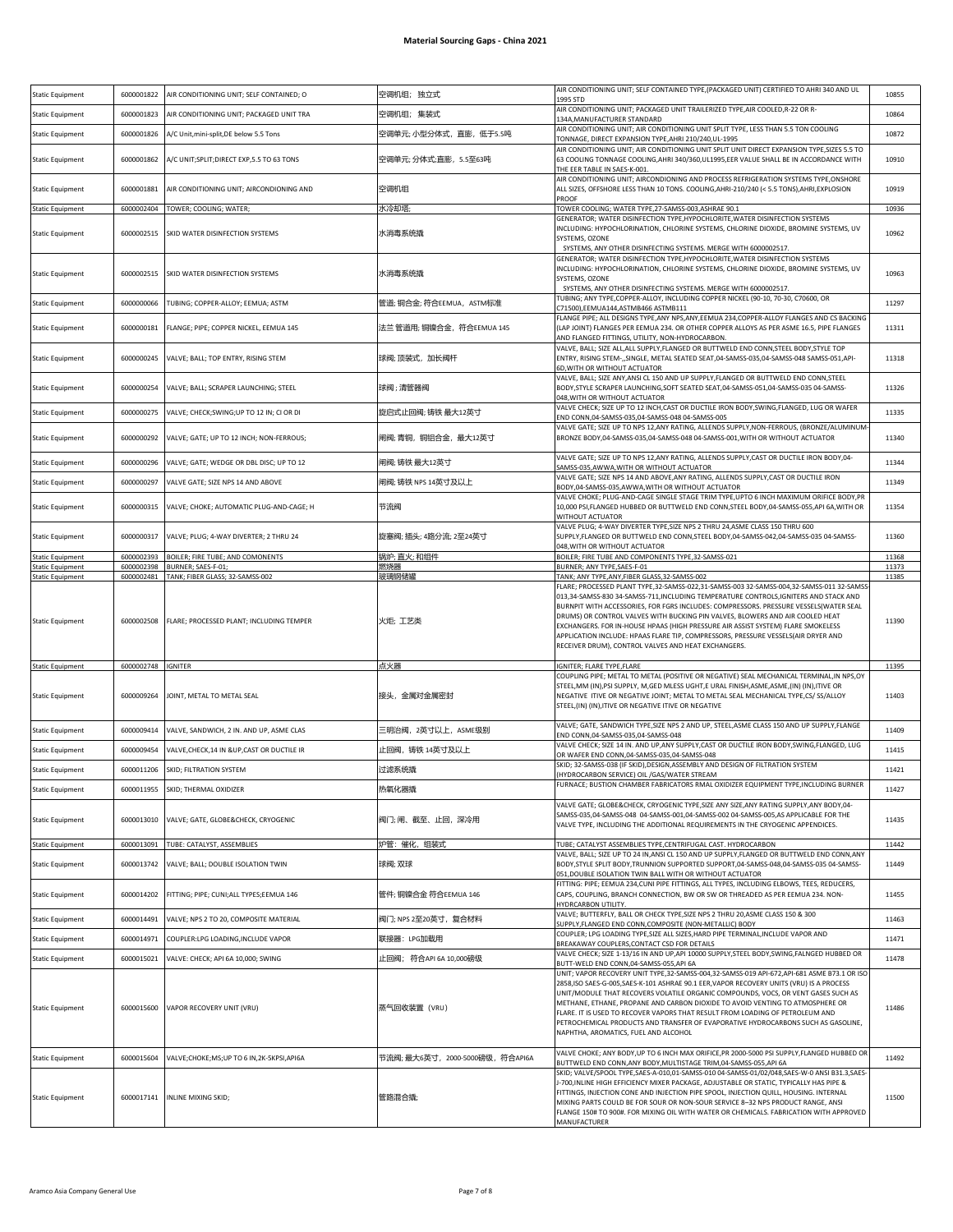| <b>Static Equipment</b>                            | 6000001822               | AIR CONDITIONING UNIT; SELF CONTAINED; O               | 空调机组; 独立式                      | AIR CONDITIONING UNIT; SELF CONTAINED TYPE, (PACKAGED UNIT) CERTIFIED TO AHRI 340 AND UL<br>1995 STD                                                                                                                                                                                                                                                                                                                                                                                                                                                                     | 10855          |
|----------------------------------------------------|--------------------------|--------------------------------------------------------|--------------------------------|--------------------------------------------------------------------------------------------------------------------------------------------------------------------------------------------------------------------------------------------------------------------------------------------------------------------------------------------------------------------------------------------------------------------------------------------------------------------------------------------------------------------------------------------------------------------------|----------------|
| <b>Static Equipment</b>                            | 6000001823               | AIR CONDITIONING UNIT; PACKAGED UNIT TRA               | 空调机组; 集装式                      | AIR CONDITIONING UNIT; PACKAGED UNIT TRAILERIZED TYPE, AIR COOLED, R-22 OR R-<br>134A, MANUFACTURER STANDARD                                                                                                                                                                                                                                                                                                                                                                                                                                                             | 10864          |
| <b>Static Equipment</b>                            | 6000001826               | A/C Unit, mini-split, DE below 5.5 Tons                | 空调单元; 小型分体式,直膨,低于5.5吨          | AIR CONDITIONING UNIT; AIR CONDITIONING UNIT SPLIT TYPE, LESS THAN 5.5 TON COOLING<br>FONNAGE, DIRECT EXPANSION TYPE, AHRI 210/240, UL-1995                                                                                                                                                                                                                                                                                                                                                                                                                              | 10872          |
| <b>Static Equipment</b>                            | 6000001862               | A/C UNIT;SPLIT;DIRECT EXP,5.5 TO 63 TONS               | 空调单元; 分体式;直膨,5.5至63吨           | AIR CONDITIONING UNIT; AIR CONDITIONING UNIT SPLIT UNIT DIRECT EXPANSION TYPE, SIZES 5.5 TO<br>63 COOLING TONNAGE COOLING, AHRI 340/360, UL1995, EER VALUE SHALL BE IN ACCORDANCE WITH<br>THE EER TABLE IN SAES-K-001.                                                                                                                                                                                                                                                                                                                                                   | 10910          |
| <b>Static Equipment</b>                            | 6000001881               | AIR CONDITIONING UNIT; AIRCONDIONING AND               | 空调机组                           | AIR CONDITIONING UNIT; AIRCONDIONING AND PROCESS REFRIGERATION SYSTEMS TYPE, ONSHORE<br>ALL SIZES, OFFSHORE LESS THAN 10 TONS. COOLING, AHRI-210/240 (< 5.5 TONS), AHRI, EXPLOSION<br>PROOF                                                                                                                                                                                                                                                                                                                                                                              | 10919          |
| <b>Static Equipment</b>                            | 6000002404               | TOWER; COOLING; WATER;                                 | 水冷却塔                           | TOWER COOLING; WATER TYPE,27-SAMSS-003,ASHRAE 90.1<br>GENERATOR; WATER DISINFECTION TYPE, HYPOCHLORITE, WATER DISINFECTION SYSTEMS                                                                                                                                                                                                                                                                                                                                                                                                                                       | 10936          |
| <b>Static Equipment</b>                            | 6000002515               | SKID WATER DISINFECTION SYSTEMS                        | 水消毒系统撬                         | INCLUDING: HYPOCHLORINATION, CHLORINE SYSTEMS, CHLORINE DIOXIDE, BROMINE SYSTEMS, UV<br>SYSTEMS, OZONE<br>SYSTEMS, ANY OTHER DISINFECTING SYSTEMS. MERGE WITH 6000002517.                                                                                                                                                                                                                                                                                                                                                                                                | 10962          |
| <b>Static Equipment</b>                            | 6000002515               | SKID WATER DISINFECTION SYSTEMS                        | 水消毒系统撬                         | GENERATOR; WATER DISINFECTION TYPE, HYPOCHLORITE, WATER DISINFECTION SYSTEMS<br>INCLUDING: HYPOCHLORINATION, CHLORINE SYSTEMS, CHLORINE DIOXIDE, BROMINE SYSTEMS, UV<br>SYSTEMS, OZONE<br>SYSTEMS, ANY OTHER DISINFECTING SYSTEMS. MERGE WITH 6000002517.                                                                                                                                                                                                                                                                                                                | 10963          |
| <b>Static Equipment</b>                            | 6000000066               | TUBING; COPPER-ALLOY; EEMUA; ASTM                      | 管道; 铜合金; 符合EEMUA,ASTM标准        | TUBING; ANY TYPE,COPPER-ALLOY, INCLUDING COPPER NICKEL (90-10, 70-30, C70600, OR<br>C71500), EEMUA144, ASTMB466 ASTMB111                                                                                                                                                                                                                                                                                                                                                                                                                                                 | 11297          |
| <b>Static Equipment</b>                            | 6000000181               | FLANGE; PIPE; COPPER NICKEL, EEMUA 145                 | 法兰 管道用; 铜镍合金,符合EEMUA 145       | FLANGE PIPE; ALL DESIGNS TYPE, ANY NPS, ANY, EEMUA 234, COPPER-ALLOY FLANGES AND CS BACKING<br>(LAP JOINT) FLANGES PER EEMUA 234. OR OTHER COPPER ALLOYS AS PER ASME 16.5, PIPE FLANGES<br>AND FLANGED FITTINGS, UTILITY, NON-HYDROCARBON.                                                                                                                                                                                                                                                                                                                               | 11311          |
| <b>Static Equipment</b>                            | 6000000245               | VALVE; BALL; TOP ENTRY, RISING STEM                    | 球阀;顶装式,加长阀杆                    | VALVE, BALL; SIZE ALL, ALL SUPPLY, FLANGED OR BUTTWELD END CONN, STEEL BODY, STYLE TOP<br>ENTRY, RISING STEM-,,SINGLE, METAL SEATED SEAT,04-SAMSS-035,04-SAMSS-048 SAMSS-051,API-<br>6D, WITH OR WITHOUT ACTUATOR                                                                                                                                                                                                                                                                                                                                                        | 11318          |
| <b>Static Equipment</b>                            | 6000000254               | VALVE; BALL; SCRAPER LAUNCHING; STEEL                  | 球阀;清管器阀                        | VALVE, BALL; SIZE ANY, ANSI CL 150 AND UP SUPPLY, FLANGED OR BUTTWELD END CONN, STEEL<br>BODY, STYLE SCRAPER LAUNCHING, SOFT SEATED SEAT, 04-SAMSS-051, 04-SAMSS-035 04-SAMSS-<br>048, WITH OR WITHOUT ACTUATOR                                                                                                                                                                                                                                                                                                                                                          | 11326          |
| <b>Static Equipment</b>                            | 6000000275               | VALVE; CHECK; SWING; UP TO 12 IN; CI OR DI             | 旋启式止回阀; 铸铁 最大12英寸              | VALVE CHECK; SIZE UP TO 12 INCH, CAST OR DUCTILE IRON BODY, SWING, FLANGED, LUG OR WAFER<br>END CONN,04-SAMSS-035,04-SAMSS-048 04-SAMSS-005                                                                                                                                                                                                                                                                                                                                                                                                                              | 11335          |
| <b>Static Equipment</b>                            | 6000000292               | VALVE; GATE; UP TO 12 INCH; NON-FERROUS;               | 闸阀; 青铜,铜铝合金,最大12英寸             | VALVE GATE; SIZE UP TO NPS 12, ANY RATING, ALLENDS SUPPLY, NON-FERROUS, (BRONZE/ALUMINUM<br>BRONZE BODY,04-SAMSS-035,04-SAMSS-048 04-SAMSS-001, WITH OR WITHOUT ACTUATOR                                                                                                                                                                                                                                                                                                                                                                                                 | 11340          |
| <b>Static Equipment</b>                            | 6000000296               | VALVE; GATE; WEDGE OR DBL DISC; UP TO 12               | 闸阀; 铸铁 最大12英寸                  | VALVE GATE; SIZE UP TO NPS 12, ANY RATING, ALLENDS SUPPLY, CAST OR DUCTILE IRON BODY, 04-<br>SAMSS-035.AWWA.WITH OR WITHOUT ACTUATOR                                                                                                                                                                                                                                                                                                                                                                                                                                     | 11344          |
| <b>Static Equipment</b>                            | 6000000297               | VALVE GATE; SIZE NPS 14 AND ABOVE                      | 闸阀; 铸铁 NPS 14英寸及以上             | VALVE GATE; SIZE NPS 14 AND ABOVE, ANY RATING, ALLENDS SUPPLY, CAST OR DUCTILE IRON<br>BODY,04-SAMSS-035,AWWA,WITH OR WITHOUT ACTUATOR                                                                                                                                                                                                                                                                                                                                                                                                                                   | 11349          |
| <b>Static Equipment</b>                            | 6000000315               | VALVE; CHOKE; AUTOMATIC PLUG-AND-CAGE; H               | 节流阀                            | VALVE CHOKE; PLUG-AND-CAGE SINGLE STAGE TRIM TYPE, UPTO 6 INCH MAXIMUM ORIFICE BODY, PR<br>10,000 PSI,FLANGED HUBBED OR BUTTWELD END CONN, STEEL BODY, 04-SAMSS-055, API 6A, WITH OR<br>WITHOUT ACTUATOR                                                                                                                                                                                                                                                                                                                                                                 | 11354          |
| <b>Static Equipment</b>                            | 6000000317               | VALVE; PLUG; 4-WAY DIVERTER; 2 THRU 24                 | 旋塞阀; 插头; 4路分流; 2至24英寸          | VALVE PLUG; 4-WAY DIVERTER TYPE, SIZE NPS 2 THRU 24, ASME CLASS 150 THRU 600<br>SUPPLY, FLANGED OR BUTTWELD END CONN, STEEL BODY, 04-SAMSS-042, 04-SAMSS-035 04-SAMSS-<br>048, WITH OR WITHOUT ACTUATOR                                                                                                                                                                                                                                                                                                                                                                  | 11360          |
| <b>Static Equipment</b>                            | 6000002393               | BOILER; FIRE TUBE; AND COMONENTS<br>BURNER; SAES-F-01; | 锅炉; 直火; 和组件                    | BOILER; FIRE TUBE AND COMPONENTS TYPE, 32-SAMSS-021<br>BURNER; ANY TYPE, SAES-F-01                                                                                                                                                                                                                                                                                                                                                                                                                                                                                       | 11368          |
| <b>Static Equipment</b><br><b>Static Equipment</b> | 6000002398<br>6000002481 | TANK; FIBER GLASS; 32-SAMSS-002                        | 燃烧器<br>玻璃钢储罐                   | TANK; ANY TYPE, ANY, FIBER GLASS, 32-SAMSS-002                                                                                                                                                                                                                                                                                                                                                                                                                                                                                                                           | 11373<br>11385 |
| <b>Static Equipment</b>                            | 6000002508               | FLARE; PROCESSED PLANT; INCLUDING TEMPER               | 火炬; 工艺类                        | 013,34-SAMSS-830 34-SAMSS-711, INCLUDING TEMPERATURE CONTROLS, IGNITERS AND STACK AND<br>BURNPIT WITH ACCESSORIES, FOR FGRS INCLUDES: COMPRESSORS. PRESSURE VESSELS(WATER SEAL<br>DRUMS) OR CONTROL VALVES WITH BUCKING PIN VALVES, BLOWERS AND AIR COOLED HEAT<br>EXCHANGERS. FOR IN-HOUSE HPAAS (HIGH PRESSURE AIR ASSIST SYSTEM) FLARE SMOKELESS<br>APPLICATION INCLUDE: HPAAS FLARE TIP, COMPRESSORS, PRESSURE VESSELS(AIR DRYER AND<br>RECEIVER DRUM), CONTROL VALVES AND HEAT EXCHANGERS.                                                                          | 11390          |
| Static Equipment                                   | 6000002748               | <b>IGNITER</b>                                         | 点火器                            | IGNITER; FLARE TYPE,FLARE                                                                                                                                                                                                                                                                                                                                                                                                                                                                                                                                                | 11395          |
| <b>Static Equipment</b>                            | 6000009264               | JOINT, METAL TO METAL SEAL                             | 接头,金属对金属密封                     | COUPLING PIPE; METAL TO METAL (POSITIVE OR NEGATIVE) SEAL MECHANICAL TERMINAL, IN NPS, OY<br>STEEL, MM (IN), PSI SUPPLY, M, GED MLESS UGHT, E URAL FINISH, ASME, ASME, (IN) (IN), ITIVE OR<br>NEGATIVE ITIVE OR NEGATIVE JOINT; METAL TO METAL SEAL MECHANICAL TYPE,CS/ SS/ALLOY<br>STEEL, (IN) (IN), ITIVE OR NEGATIVE ITIVE OR NEGATIVE                                                                                                                                                                                                                                | 11403          |
| <b>Static Equipment</b>                            | 6000009414               | VALVE, SANDWICH, 2 IN. AND UP, ASME CLAS               | 三明治阀,2英寸以上,ASME级别              | VALVE; GATE, SANDWICH TYPE, SIZE NPS 2 AND UP, STEEL, ASME CLASS 150 AND UP SUPPLY, FLANGE<br>END CONN,04-SAMSS-035,04-SAMSS-048                                                                                                                                                                                                                                                                                                                                                                                                                                         | 11409          |
| <b>Static Equipment</b>                            | 6000009454               | VALVE, CHECK, 14 IN & UP, CAST OR DUCTILE IR           | 止回阀,铸铁 14英寸及以上                 | VALVE CHECK; SIZE 14 IN. AND UP, ANY SUPPLY, CAST OR DUCTILE IRON BODY, SWING, FLANGED, LUG<br>OR WAFER END CONN,04-SAMSS-035,04-SAMSS-048                                                                                                                                                                                                                                                                                                                                                                                                                               | 11415          |
| <b>Static Equipment</b>                            | 6000011206               | SKID; FILTRATION SYSTEM                                | 过滤系统撬                          | SKID; 32-SAMSS-038 (IF SKID), DESIGN, ASSEMBLY AND DESIGN OF FILTRATION SYSTEM<br>(HYDROCARBON SERVICE) OIL /GAS/WATER STREAM                                                                                                                                                                                                                                                                                                                                                                                                                                            | 11421          |
| <b>Static Equipment</b>                            | 6000011955               | SKID; THERMAL OXIDIZER                                 |                                |                                                                                                                                                                                                                                                                                                                                                                                                                                                                                                                                                                          |                |
| <b>Static Equipment</b>                            |                          |                                                        |                                | FURNACE; BUSTION CHAMBER FABRICATORS RMAL OXIDIZER EQUIPMENT TYPE, INCLUDING BURNER                                                                                                                                                                                                                                                                                                                                                                                                                                                                                      |                |
|                                                    | 6000013010               | VALVE; GATE, GLOBE&CHECK, CRYOGENIC                    | 热氧化器撬<br>阀门; 闸、截至、止回,深冷用       | VALVE GATE; GLOBE&CHECK, CRYOGENIC TYPE, SIZE ANY SIZE, ANY RATING SUPPLY, ANY BODY, 04-<br>SAMSS-035,04-SAMSS-048 04-SAMSS-001,04-SAMSS-002 04-SAMSS-005,AS APPLICABLE FOR THE<br>VALVE TYPE, INCLUDING THE ADDITIONAL REQUIREMENTS IN THE CRYOGENIC APPENDICES.                                                                                                                                                                                                                                                                                                        | 11427<br>11435 |
| <b>Static Equipment</b>                            | 6000013091               | TUBE: CATALYST, ASSEMBLIES                             | 炉管:催化,组装式                      | TUBE; CATALYST ASSEMBLIES TYPE, CENTRIFUGAL CAST. HYDROCARBON                                                                                                                                                                                                                                                                                                                                                                                                                                                                                                            | 11442          |
| <b>Static Equipment</b>                            | 6000013742               | VALVE; BALL; DOUBLE ISOLATION TWIN                     | 球阀;双球                          | VALVE, BALL; SIZE UP TO 24 IN, ANSI CL 150 AND UP SUPPLY, FLANGED OR BUTTWELD END CONN, ANY<br>BODY, STYLE SPLIT BODY, TRUNNION SUPPORTED SUPPORT, 04-SAMSS-048, 04-SAMSS-035 04-SAMSS-<br>051, DOUBLE ISOLATION TWIN BALL WITH OR WITHOUT ACTUATOR                                                                                                                                                                                                                                                                                                                      | 11449          |
| <b>Static Equipment</b>                            | 6000014202               | FITTING; PIPE; CUNI;ALL TYPES;EEMUA 146                | 管件; 铜镍合金 符合EEMUA 146           | FITTING: PIPE; EEMUA 234, CUNI PIPE FITTINGS, ALL TYPES, INCLUDING ELBOWS, TEES, REDUCERS,<br>CAPS, COUPLING, BRANCH CONNECTION, BW OR SW OR THREADED AS PER EEMUA 234, NON-<br><b>HYDRCARBON UTILITY</b>                                                                                                                                                                                                                                                                                                                                                                | 11455          |
| <b>Static Equipment</b>                            | 6000014491               | VALVE; NPS 2 TO 20, COMPOSITE MATERIAL                 | 阀门; NPS 2至20英寸,复合材料            | VALVE; BUTTERFLY, BALL OR CHECK TYPE, SIZE NPS 2 THRU 20, ASME CLASS 150 & 300<br>SUPPLY, FLANGED END CONN, COMPOSITE (NON-METALLIC) BODY                                                                                                                                                                                                                                                                                                                                                                                                                                | 11463          |
| <b>Static Equipment</b>                            | 6000014971               | COUPLER:LPG LOADING, INCLUDE VAPOR                     | 联接器: LPG加载用                    | COUPLER; LPG LOADING TYPE, SIZE ALL SIZES, HARD PIPE TERMINAL, INCLUDE VAPOR AND<br>BREAKAWAY COUPLERS, CONTACT CSD FOR DETAILS                                                                                                                                                                                                                                                                                                                                                                                                                                          | 11471          |
| <b>Static Equipment</b>                            | 6000015021               | VALVE: CHECK; API 6A 10,000; SWING                     | 止回阀; 符合API 6A 10,000磅级         | VALVE CHECK; SIZE 1-13/16 IN AND UP, API 10000 SUPPLY, STEEL BODY, SWING, FALNGED HUBBED OR<br>BUTT-WELD END CONN,04-SAMSS-055,API 6A                                                                                                                                                                                                                                                                                                                                                                                                                                    | 11478          |
| <b>Static Equipment</b>                            | 6000015600               | VAPOR RECOVERY UNIT (VRU)                              | 蒸气回收装置(VRU)                    | UNIT; VAPOR RECOVERY UNIT TYPE,32-SAMSS-004,32-SAMSS-019 API-672,API-681 ASME B73.1 OR ISO<br>2858,ISO SAES-G-005,SAES-K-101 ASHRAE 90.1 EER,VAPOR RECOVERY UNITS (VRU) IS A PROCESS<br>UNIT/MODULE THAT RECOVERS VOLATILE ORGANIC COMPOUNDS, VOCS, OR VENT GASES SUCH AS<br>METHANE, ETHANE, PROPANE AND CARBON DIOXIDE TO AVOID VENTING TO ATMOSPHERE OR<br>FLARE. IT IS USED TO RECOVER VAPORS THAT RESULT FROM LOADING OF PETROLEUM AND<br>PETROCHEMICAL PRODUCTS AND TRANSFER OF EVAPORATIVE HYDROCARBONS SUCH AS GASOLINE,<br>NAPHTHA, AROMATICS, FUEL AND ALCOHOL | 11486          |
| <b>Static Equipment</b>                            | 6000015604               | VALVE;CHOKE;MS;UP TO 6 IN,2K-5KPSI,API6A               | 节流阀; 最大6英寸,2000-5000磅级,符合API6A | VALVE CHOKE; ANY BODY, UP TO 6 INCH MAX ORIFICE, PR 2000-5000 PSI SUPPLY, FLANGED HUBBED OR<br>BUTTWELD END CONN, ANY BODY, MULTISTAGE TRIM, 04-SAMSS-055, API 6A                                                                                                                                                                                                                                                                                                                                                                                                        | 11492          |